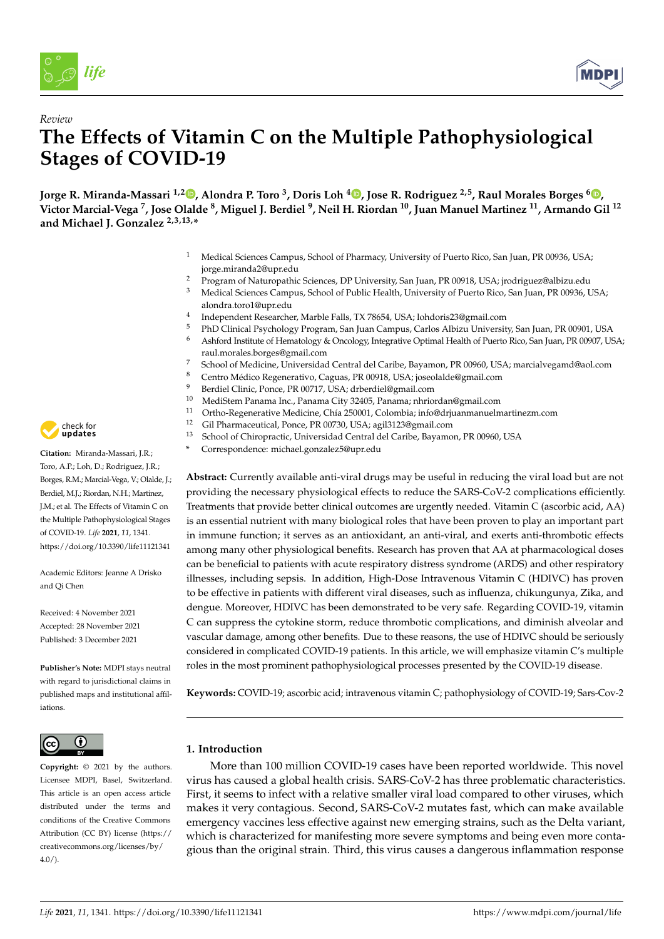



# *Review* **The Effects of Vitamin C on the Multiple Pathophysiological Stages of COVID-19**

<code>Jorge R. Miranda-Massari <sup>1,[2](https://orcid.org/0000-0002-5145-3574)</sup> ©[,](https://orcid.org/0000-0002-3469-3074) Alondra P. Toro <sup>3</sup>, Doris Loh <sup>4</sup> ©, Jose R. Rodriguez <sup>2,5</sup>, Raul Morales Borges <sup>6</sup> ©,</code> **Victor Marcial-Vega <sup>7</sup> , Jose Olalde <sup>8</sup> , Miguel J. Berdiel <sup>9</sup> , Neil H. Riordan <sup>10</sup>, Juan Manuel Martinez <sup>11</sup>, Armando Gil <sup>12</sup> and Michael J. Gonzalez 2,3,13,\***

- Medical Sciences Campus, School of Pharmacy, University of Puerto Rico, San Juan, PR 00936, USA; jorge.miranda2@upr.edu
- <sup>2</sup> Program of Naturopathic Sciences, DP University, San Juan, PR 00918, USA; jrodriguez@albizu.edu
- <sup>3</sup> Medical Sciences Campus, School of Public Health, University of Puerto Rico, San Juan, PR 00936, USA; alondra.toro1@upr.edu
- 4 Independent Researcher, Marble Falls, TX 78654, USA; lohdoris23@gmail.com
- <sup>5</sup> PhD Clinical Psychology Program, San Juan Campus, Carlos Albizu University, San Juan, PR 00901, USA<br><sup>6</sup> Ashford Institute of Hamatalaxy & Opealaxy Integrative Optimal Haalth of Puerta Rice, San Juan, PR 00007, USA
- <sup>6</sup> Ashford Institute of Hematology & Oncology, Integrative Optimal Health of Puerto Rico, San Juan, PR 00907, USA; raul.morales.borges@gmail.com
- 7 School of Medicine, Universidad Central del Caribe, Bayamon, PR 00960, USA; marcialvegamd@aol.com<br>8 Centre Médice Reconomitive Centre PR 00918, USA: isseelalde@email.com
- <sup>8</sup> Centro Médico Regenerativo, Caguas, PR 00918, USA; joseolalde@gmail.com
- 9 Berdiel Clinic, Ponce, PR 00717, USA; drberdiel@gmail.com<br>10 Medistam Panama Ing, Panama City 32405, Panama; nhrio
- <sup>10</sup> MediStem Panama Inc., Panama City 32405, Panama; nhriordan@gmail.com
- <sup>11</sup> Ortho-Regenerative Medicine, Chía 250001, Colombia; info@drjuanmanuelmartinezm.com<br><sup>12</sup> Cil Pharmacoutical Papea PR 00720 USA: axil<sup>2122@</sup>cmail.com
- <sup>12</sup> Gil Pharmaceutical, Ponce, PR 00730, USA; agil3123@gmail.com<br><sup>13</sup> School of Chiropractic Universidad Central del Caribe Bayamo
- <sup>13</sup> School of Chiropractic, Universidad Central del Caribe, Bayamon, PR 00960, USA
- **\*** Correspondence: michael.gonzalez5@upr.edu

**Abstract:** Currently available anti-viral drugs may be useful in reducing the viral load but are not providing the necessary physiological effects to reduce the SARS-CoV-2 complications efficiently. Treatments that provide better clinical outcomes are urgently needed. Vitamin C (ascorbic acid, AA) is an essential nutrient with many biological roles that have been proven to play an important part in immune function; it serves as an antioxidant, an anti-viral, and exerts anti-thrombotic effects among many other physiological benefits. Research has proven that AA at pharmacological doses can be beneficial to patients with acute respiratory distress syndrome (ARDS) and other respiratory illnesses, including sepsis. In addition, High-Dose Intravenous Vitamin C (HDIVC) has proven to be effective in patients with different viral diseases, such as influenza, chikungunya, Zika, and dengue. Moreover, HDIVC has been demonstrated to be very safe. Regarding COVID-19, vitamin C can suppress the cytokine storm, reduce thrombotic complications, and diminish alveolar and vascular damage, among other benefits. Due to these reasons, the use of HDIVC should be seriously considered in complicated COVID-19 patients. In this article, we will emphasize vitamin C's multiple roles in the most prominent pathophysiological processes presented by the COVID-19 disease.

**Keywords:** COVID-19; ascorbic acid; intravenous vitamin C; pathophysiology of COVID-19; Sars-Cov-2

# **1. Introduction**

More than 100 million COVID-19 cases have been reported worldwide. This novel virus has caused a global health crisis. SARS-CoV-2 has three problematic characteristics. First, it seems to infect with a relative smaller viral load compared to other viruses, which makes it very contagious. Second, SARS-CoV-2 mutates fast, which can make available emergency vaccines less effective against new emerging strains, such as the Delta variant, which is characterized for manifesting more severe symptoms and being even more contagious than the original strain. Third, this virus causes a dangerous inflammation response



**Citation:** Miranda-Massari, J.R.; Toro, A.P.; Loh, D.; Rodriguez, J.R.; Borges, R.M.; Marcial-Vega, V.; Olalde, J.; Berdiel, M.J.; Riordan, N.H.; Martinez, J.M.; et al. The Effects of Vitamin C on the Multiple Pathophysiological Stages of COVID-19. *Life* **2021**, *11*, 1341. <https://doi.org/10.3390/life11121341>

Academic Editors: Jeanne A Drisko and Qi Chen

Received: 4 November 2021 Accepted: 28 November 2021 Published: 3 December 2021

**Publisher's Note:** MDPI stays neutral with regard to jurisdictional claims in published maps and institutional affiliations.



**Copyright:** © 2021 by the authors. Licensee MDPI, Basel, Switzerland. This article is an open access article distributed under the terms and conditions of the Creative Commons Attribution (CC BY) license (https:/[/](https://creativecommons.org/licenses/by/4.0/) [creativecommons.org/licenses/by/](https://creativecommons.org/licenses/by/4.0/)  $4.0/$ ).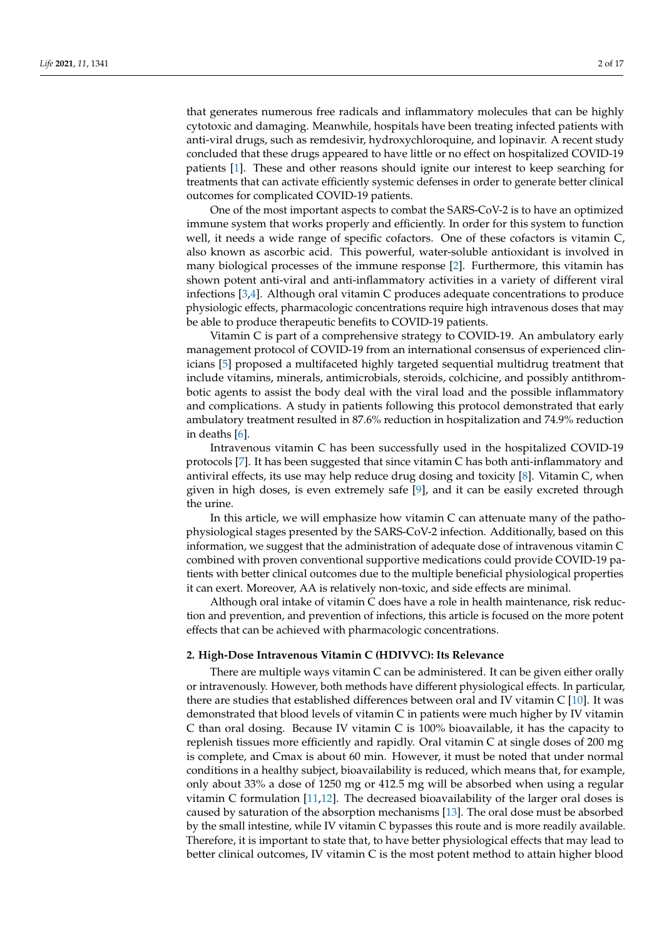that generates numerous free radicals and inflammatory molecules that can be highly cytotoxic and damaging. Meanwhile, hospitals have been treating infected patients with anti-viral drugs, such as remdesivir, hydroxychloroquine, and lopinavir. A recent study concluded that these drugs appeared to have little or no effect on hospitalized COVID-19 patients [\[1\]](#page-12-0). These and other reasons should ignite our interest to keep searching for treatments that can activate efficiently systemic defenses in order to generate better clinical outcomes for complicated COVID-19 patients.

One of the most important aspects to combat the SARS-CoV-2 is to have an optimized immune system that works properly and efficiently. In order for this system to function well, it needs a wide range of specific cofactors. One of these cofactors is vitamin C, also known as ascorbic acid. This powerful, water-soluble antioxidant is involved in many biological processes of the immune response [\[2\]](#page-12-1). Furthermore, this vitamin has shown potent anti-viral and anti-inflammatory activities in a variety of different viral infections [\[3,](#page-12-2)[4\]](#page-12-3). Although oral vitamin C produces adequate concentrations to produce physiologic effects, pharmacologic concentrations require high intravenous doses that may be able to produce therapeutic benefits to COVID-19 patients.

Vitamin C is part of a comprehensive strategy to COVID-19. An ambulatory early management protocol of COVID-19 from an international consensus of experienced clinicians [\[5\]](#page-12-4) proposed a multifaceted highly targeted sequential multidrug treatment that include vitamins, minerals, antimicrobials, steroids, colchicine, and possibly antithrombotic agents to assist the body deal with the viral load and the possible inflammatory and complications. A study in patients following this protocol demonstrated that early ambulatory treatment resulted in 87.6% reduction in hospitalization and 74.9% reduction in deaths [\[6\]](#page-12-5).

Intravenous vitamin C has been successfully used in the hospitalized COVID-19 protocols [\[7\]](#page-12-6). It has been suggested that since vitamin C has both anti-inflammatory and antiviral effects, its use may help reduce drug dosing and toxicity [\[8\]](#page-12-7). Vitamin C, when given in high doses, is even extremely safe [\[9\]](#page-12-8), and it can be easily excreted through the urine.

In this article, we will emphasize how vitamin C can attenuate many of the pathophysiological stages presented by the SARS-CoV-2 infection. Additionally, based on this information, we suggest that the administration of adequate dose of intravenous vitamin C combined with proven conventional supportive medications could provide COVID-19 patients with better clinical outcomes due to the multiple beneficial physiological properties it can exert. Moreover, AA is relatively non-toxic, and side effects are minimal.

Although oral intake of vitamin C does have a role in health maintenance, risk reduction and prevention, and prevention of infections, this article is focused on the more potent effects that can be achieved with pharmacologic concentrations.

### **2. High-Dose Intravenous Vitamin C (HDIVVC): Its Relevance**

There are multiple ways vitamin C can be administered. It can be given either orally or intravenously. However, both methods have different physiological effects. In particular, there are studies that established differences between oral and IV vitamin C [\[10\]](#page-12-9). It was demonstrated that blood levels of vitamin C in patients were much higher by IV vitamin C than oral dosing. Because IV vitamin C is 100% bioavailable, it has the capacity to replenish tissues more efficiently and rapidly. Oral vitamin C at single doses of 200 mg is complete, and Cmax is about 60 min. However, it must be noted that under normal conditions in a healthy subject, bioavailability is reduced, which means that, for example, only about 33% a dose of 1250 mg or 412.5 mg will be absorbed when using a regular vitamin C formulation  $[11,12]$  $[11,12]$ . The decreased bioavailability of the larger oral doses is caused by saturation of the absorption mechanisms [\[13\]](#page-12-12). The oral dose must be absorbed by the small intestine, while IV vitamin C bypasses this route and is more readily available. Therefore, it is important to state that, to have better physiological effects that may lead to better clinical outcomes, IV vitamin C is the most potent method to attain higher blood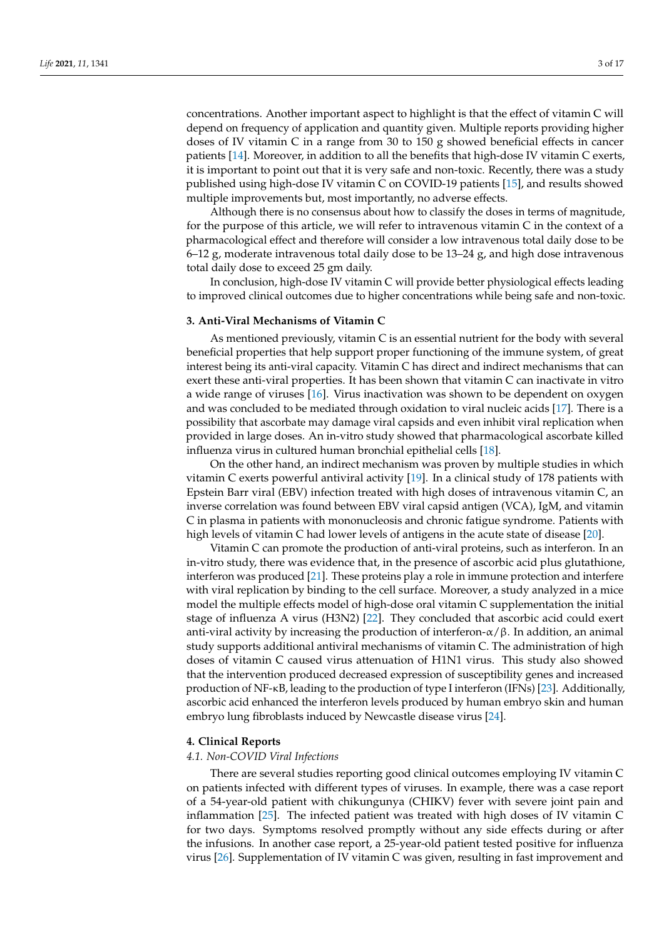concentrations. Another important aspect to highlight is that the effect of vitamin C will depend on frequency of application and quantity given. Multiple reports providing higher doses of IV vitamin C in a range from 30 to 150 g showed beneficial effects in cancer patients [\[14\]](#page-12-13). Moreover, in addition to all the benefits that high-dose IV vitamin C exerts, it is important to point out that it is very safe and non-toxic. Recently, there was a study published using high-dose IV vitamin C on COVID-19 patients [\[15\]](#page-13-0), and results showed multiple improvements but, most importantly, no adverse effects.

Although there is no consensus about how to classify the doses in terms of magnitude, for the purpose of this article, we will refer to intravenous vitamin C in the context of a pharmacological effect and therefore will consider a low intravenous total daily dose to be 6–12 g, moderate intravenous total daily dose to be 13–24 g, and high dose intravenous total daily dose to exceed 25 gm daily.

In conclusion, high-dose IV vitamin C will provide better physiological effects leading to improved clinical outcomes due to higher concentrations while being safe and non-toxic.

#### **3. Anti-Viral Mechanisms of Vitamin C**

As mentioned previously, vitamin C is an essential nutrient for the body with several beneficial properties that help support proper functioning of the immune system, of great interest being its anti-viral capacity. Vitamin C has direct and indirect mechanisms that can exert these anti-viral properties. It has been shown that vitamin C can inactivate in vitro a wide range of viruses [\[16\]](#page-13-1). Virus inactivation was shown to be dependent on oxygen and was concluded to be mediated through oxidation to viral nucleic acids [\[17\]](#page-13-2). There is a possibility that ascorbate may damage viral capsids and even inhibit viral replication when provided in large doses. An in-vitro study showed that pharmacological ascorbate killed influenza virus in cultured human bronchial epithelial cells [\[18\]](#page-13-3).

On the other hand, an indirect mechanism was proven by multiple studies in which vitamin C exerts powerful antiviral activity [\[19\]](#page-13-4). In a clinical study of 178 patients with Epstein Barr viral (EBV) infection treated with high doses of intravenous vitamin C, an inverse correlation was found between EBV viral capsid antigen (VCA), IgM, and vitamin C in plasma in patients with mononucleosis and chronic fatigue syndrome. Patients with high levels of vitamin C had lower levels of antigens in the acute state of disease [\[20\]](#page-13-5).

Vitamin C can promote the production of anti-viral proteins, such as interferon. In an in-vitro study, there was evidence that, in the presence of ascorbic acid plus glutathione, interferon was produced [\[21\]](#page-13-6). These proteins play a role in immune protection and interfere with viral replication by binding to the cell surface. Moreover, a study analyzed in a mice model the multiple effects model of high-dose oral vitamin C supplementation the initial stage of influenza A virus (H3N2) [\[22\]](#page-13-7). They concluded that ascorbic acid could exert anti-viral activity by increasing the production of interferon- $\alpha$ / $\beta$ . In addition, an animal study supports additional antiviral mechanisms of vitamin C. The administration of high doses of vitamin C caused virus attenuation of H1N1 virus. This study also showed that the intervention produced decreased expression of susceptibility genes and increased production of NF-κB, leading to the production of type I interferon (IFNs) [\[23\]](#page-13-8). Additionally, ascorbic acid enhanced the interferon levels produced by human embryo skin and human embryo lung fibroblasts induced by Newcastle disease virus [\[24\]](#page-13-9).

#### <span id="page-2-0"></span>**4. Clinical Reports**

#### *4.1. Non-COVID Viral Infections*

There are several studies reporting good clinical outcomes employing IV vitamin C on patients infected with different types of viruses. In example, there was a case report of a 54-year-old patient with chikungunya (CHIKV) fever with severe joint pain and inflammation [\[25\]](#page-13-10). The infected patient was treated with high doses of IV vitamin C for two days. Symptoms resolved promptly without any side effects during or after the infusions. In another case report, a 25-year-old patient tested positive for influenza virus [\[26\]](#page-13-11). Supplementation of IV vitamin C was given, resulting in fast improvement and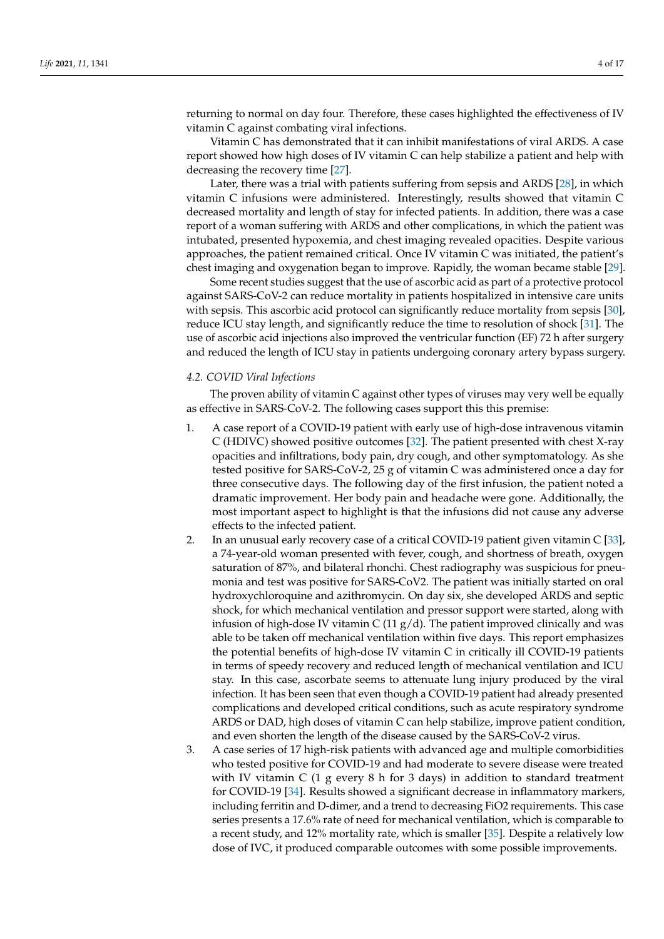returning to normal on day four. Therefore, these cases highlighted the effectiveness of IV vitamin C against combating viral infections.

Vitamin C has demonstrated that it can inhibit manifestations of viral ARDS. A case report showed how high doses of IV vitamin C can help stabilize a patient and help with decreasing the recovery time [\[27\]](#page-13-12).

Later, there was a trial with patients suffering from sepsis and ARDS [\[28\]](#page-13-13), in which vitamin C infusions were administered. Interestingly, results showed that vitamin C decreased mortality and length of stay for infected patients. In addition, there was a case report of a woman suffering with ARDS and other complications, in which the patient was intubated, presented hypoxemia, and chest imaging revealed opacities. Despite various approaches, the patient remained critical. Once IV vitamin C was initiated, the patient's chest imaging and oxygenation began to improve. Rapidly, the woman became stable [\[29\]](#page-13-14).

Some recent studies suggest that the use of ascorbic acid as part of a protective protocol against SARS-CoV-2 can reduce mortality in patients hospitalized in intensive care units with sepsis. This ascorbic acid protocol can significantly reduce mortality from sepsis [\[30\]](#page-13-15), reduce ICU stay length, and significantly reduce the time to resolution of shock [\[31\]](#page-13-16). The use of ascorbic acid injections also improved the ventricular function (EF) 72 h after surgery and reduced the length of ICU stay in patients undergoing coronary artery bypass surgery.

#### *4.2. COVID Viral Infections*

The proven ability of vitamin C against other types of viruses may very well be equally as effective in SARS-CoV-2. The following cases support this this premise:

- 1. A case report of a COVID-19 patient with early use of high-dose intravenous vitamin C (HDIVC) showed positive outcomes [\[32\]](#page-13-17). The patient presented with chest X-ray opacities and infiltrations, body pain, dry cough, and other symptomatology. As she tested positive for SARS-CoV-2, 25 g of vitamin C was administered once a day for three consecutive days. The following day of the first infusion, the patient noted a dramatic improvement. Her body pain and headache were gone. Additionally, the most important aspect to highlight is that the infusions did not cause any adverse effects to the infected patient.
- 2. In an unusual early recovery case of a critical COVID-19 patient given vitamin C [\[33\]](#page-13-18), a 74-year-old woman presented with fever, cough, and shortness of breath, oxygen saturation of 87%, and bilateral rhonchi. Chest radiography was suspicious for pneumonia and test was positive for SARS-CoV2. The patient was initially started on oral hydroxychloroquine and azithromycin. On day six, she developed ARDS and septic shock, for which mechanical ventilation and pressor support were started, along with infusion of high-dose IV vitamin C (11  $g/d$ ). The patient improved clinically and was able to be taken off mechanical ventilation within five days. This report emphasizes the potential benefits of high-dose IV vitamin C in critically ill COVID-19 patients in terms of speedy recovery and reduced length of mechanical ventilation and ICU stay. In this case, ascorbate seems to attenuate lung injury produced by the viral infection. It has been seen that even though a COVID-19 patient had already presented complications and developed critical conditions, such as acute respiratory syndrome ARDS or DAD, high doses of vitamin C can help stabilize, improve patient condition, and even shorten the length of the disease caused by the SARS-CoV-2 virus.
- 3. A case series of 17 high-risk patients with advanced age and multiple comorbidities who tested positive for COVID-19 and had moderate to severe disease were treated with IV vitamin C  $(1 \text{ g every } 8 \text{ h for } 3 \text{ days})$  in addition to standard treatment for COVID-19 [\[34\]](#page-13-19). Results showed a significant decrease in inflammatory markers, including ferritin and D-dimer, and a trend to decreasing FiO2 requirements. This case series presents a 17.6% rate of need for mechanical ventilation, which is comparable to a recent study, and 12% mortality rate, which is smaller [\[35\]](#page-13-20). Despite a relatively low dose of IVC, it produced comparable outcomes with some possible improvements.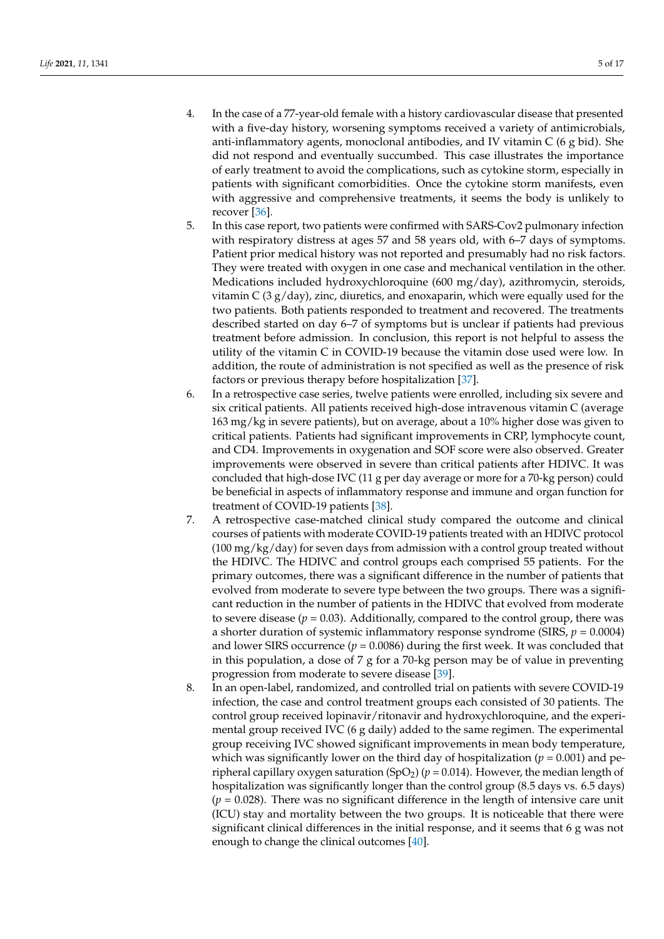- 4. In the case of a 77-year-old female with a history cardiovascular disease that presented with a five-day history, worsening symptoms received a variety of antimicrobials, anti-inflammatory agents, monoclonal antibodies, and IV vitamin  $C$  (6 g bid). She did not respond and eventually succumbed. This case illustrates the importance of early treatment to avoid the complications, such as cytokine storm, especially in patients with significant comorbidities. Once the cytokine storm manifests, even with aggressive and comprehensive treatments, it seems the body is unlikely to recover [\[36\]](#page-13-21).
- 5. In this case report, two patients were confirmed with SARS-Cov2 pulmonary infection with respiratory distress at ages 57 and 58 years old, with 6–7 days of symptoms. Patient prior medical history was not reported and presumably had no risk factors. They were treated with oxygen in one case and mechanical ventilation in the other. Medications included hydroxychloroquine (600 mg/day), azithromycin, steroids, vitamin C (3  $g$ /day), zinc, diuretics, and enoxaparin, which were equally used for the two patients. Both patients responded to treatment and recovered. The treatments described started on day 6–7 of symptoms but is unclear if patients had previous treatment before admission. In conclusion, this report is not helpful to assess the utility of the vitamin C in COVID-19 because the vitamin dose used were low. In addition, the route of administration is not specified as well as the presence of risk factors or previous therapy before hospitalization [\[37\]](#page-13-22).
- 6. In a retrospective case series, twelve patients were enrolled, including six severe and six critical patients. All patients received high-dose intravenous vitamin C (average 163 mg/kg in severe patients), but on average, about a 10% higher dose was given to critical patients. Patients had significant improvements in CRP, lymphocyte count, and CD4. Improvements in oxygenation and SOF score were also observed. Greater improvements were observed in severe than critical patients after HDIVC. It was concluded that high-dose IVC (11 g per day average or more for a 70-kg person) could be beneficial in aspects of inflammatory response and immune and organ function for treatment of COVID-19 patients [\[38\]](#page-13-23).
- 7. A retrospective case-matched clinical study compared the outcome and clinical courses of patients with moderate COVID-19 patients treated with an HDIVC protocol  $(100 \text{ mg/kg/day})$  for seven days from admission with a control group treated without the HDIVC. The HDIVC and control groups each comprised 55 patients. For the primary outcomes, there was a significant difference in the number of patients that evolved from moderate to severe type between the two groups. There was a significant reduction in the number of patients in the HDIVC that evolved from moderate to severe disease  $(p = 0.03)$ . Additionally, compared to the control group, there was a shorter duration of systemic inflammatory response syndrome (SIRS,  $p = 0.0004$ ) and lower SIRS occurrence ( $p = 0.0086$ ) during the first week. It was concluded that in this population, a dose of 7 g for a 70-kg person may be of value in preventing progression from moderate to severe disease [\[39\]](#page-14-0).
- 8. In an open-label, randomized, and controlled trial on patients with severe COVID-19 infection, the case and control treatment groups each consisted of 30 patients. The control group received lopinavir/ritonavir and hydroxychloroquine, and the experimental group received IVC (6 g daily) added to the same regimen. The experimental group receiving IVC showed significant improvements in mean body temperature, which was significantly lower on the third day of hospitalization ( $p = 0.001$ ) and peripheral capillary oxygen saturation (SpO<sub>2</sub>) ( $p = 0.014$ ). However, the median length of hospitalization was significantly longer than the control group (8.5 days vs. 6.5 days) (*p* = 0.028). There was no significant difference in the length of intensive care unit (ICU) stay and mortality between the two groups. It is noticeable that there were significant clinical differences in the initial response, and it seems that 6 g was not enough to change the clinical outcomes [\[40\]](#page-14-1).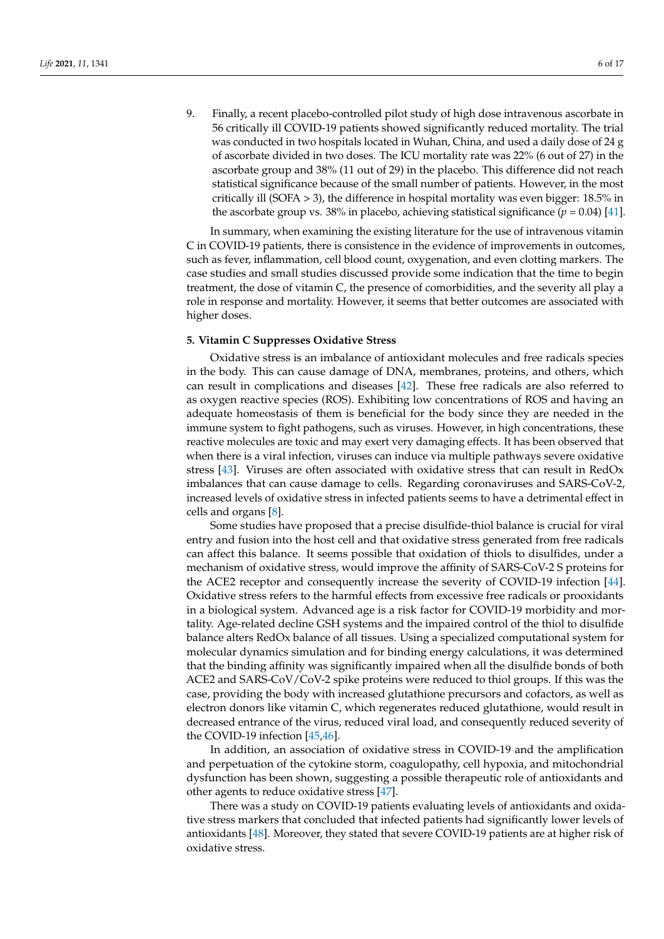9. Finally, a recent placebo-controlled pilot study of high dose intravenous ascorbate in 56 critically ill COVID-19 patients showed significantly reduced mortality. The trial was conducted in two hospitals located in Wuhan, China, and used a daily dose of 24 g of ascorbate divided in two doses. The ICU mortality rate was 22% (6 out of 27) in the ascorbate group and 38% (11 out of 29) in the placebo. This difference did not reach statistical significance because of the small number of patients. However, in the most critically ill (SOFA > 3), the difference in hospital mortality was even bigger: 18.5% in the ascorbate group vs. 38% in placebo, achieving statistical significance  $(p = 0.04)$  [\[41\]](#page-14-2).

In summary, when examining the existing literature for the use of intravenous vitamin C in COVID-19 patients, there is consistence in the evidence of improvements in outcomes, such as fever, inflammation, cell blood count, oxygenation, and even clotting markers. The case studies and small studies discussed provide some indication that the time to begin treatment, the dose of vitamin C, the presence of comorbidities, and the severity all play a role in response and mortality. However, it seems that better outcomes are associated with higher doses.

# **5. Vitamin C Suppresses Oxidative Stress**

Oxidative stress is an imbalance of antioxidant molecules and free radicals species in the body. This can cause damage of DNA, membranes, proteins, and others, which can result in complications and diseases [\[42\]](#page-14-3). These free radicals are also referred to as oxygen reactive species (ROS). Exhibiting low concentrations of ROS and having an adequate homeostasis of them is beneficial for the body since they are needed in the immune system to fight pathogens, such as viruses. However, in high concentrations, these reactive molecules are toxic and may exert very damaging effects. It has been observed that when there is a viral infection, viruses can induce via multiple pathways severe oxidative stress [\[43\]](#page-14-4). Viruses are often associated with oxidative stress that can result in RedOx imbalances that can cause damage to cells. Regarding coronaviruses and SARS-CoV-2, increased levels of oxidative stress in infected patients seems to have a detrimental effect in cells and organs [\[8\]](#page-12-7).

Some studies have proposed that a precise disulfide-thiol balance is crucial for viral entry and fusion into the host cell and that oxidative stress generated from free radicals can affect this balance. It seems possible that oxidation of thiols to disulfides, under a mechanism of oxidative stress, would improve the affinity of SARS-CoV-2 S proteins for the ACE2 receptor and consequently increase the severity of COVID-19 infection [\[44\]](#page-14-5). Oxidative stress refers to the harmful effects from excessive free radicals or prooxidants in a biological system. Advanced age is a risk factor for COVID-19 morbidity and mortality. Age-related decline GSH systems and the impaired control of the thiol to disulfide balance alters RedOx balance of all tissues. Using a specialized computational system for molecular dynamics simulation and for binding energy calculations, it was determined that the binding affinity was significantly impaired when all the disulfide bonds of both ACE2 and SARS-CoV/CoV-2 spike proteins were reduced to thiol groups. If this was the case, providing the body with increased glutathione precursors and cofactors, as well as electron donors like vitamin C, which regenerates reduced glutathione, would result in decreased entrance of the virus, reduced viral load, and consequently reduced severity of the COVID-19 infection [\[45](#page-14-6)[,46\]](#page-14-7).

In addition, an association of oxidative stress in COVID-19 and the amplification and perpetuation of the cytokine storm, coagulopathy, cell hypoxia, and mitochondrial dysfunction has been shown, suggesting a possible therapeutic role of antioxidants and other agents to reduce oxidative stress [\[47\]](#page-14-8).

There was a study on COVID-19 patients evaluating levels of antioxidants and oxidative stress markers that concluded that infected patients had significantly lower levels of antioxidants [\[48\]](#page-14-9). Moreover, they stated that severe COVID-19 patients are at higher risk of oxidative stress.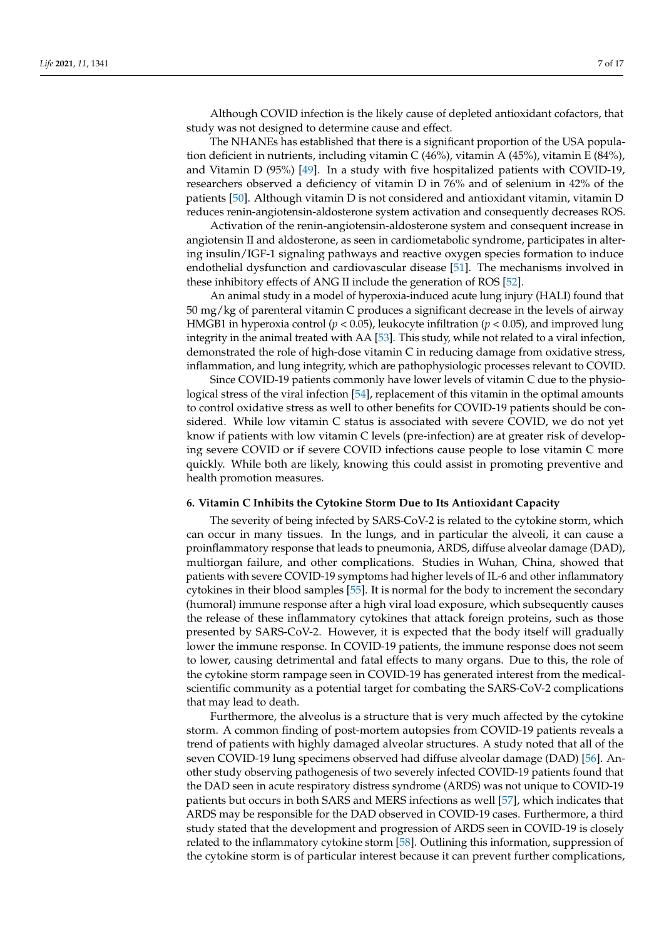Although COVID infection is the likely cause of depleted antioxidant cofactors, that study was not designed to determine cause and effect.

The NHANEs has established that there is a significant proportion of the USA population deficient in nutrients, including vitamin C (46%), vitamin A (45%), vitamin E (84%), and Vitamin D (95%) [\[49\]](#page-14-10). In a study with five hospitalized patients with COVID-19, researchers observed a deficiency of vitamin D in 76% and of selenium in 42% of the patients [\[50\]](#page-14-11). Although vitamin D is not considered and antioxidant vitamin, vitamin D reduces renin-angiotensin-aldosterone system activation and consequently decreases ROS.

Activation of the renin-angiotensin-aldosterone system and consequent increase in angiotensin II and aldosterone, as seen in cardiometabolic syndrome, participates in altering insulin/IGF-1 signaling pathways and reactive oxygen species formation to induce endothelial dysfunction and cardiovascular disease [\[51\]](#page-14-12). The mechanisms involved in these inhibitory effects of ANG II include the generation of ROS [\[52\]](#page-14-13).

An animal study in a model of hyperoxia-induced acute lung injury (HALI) found that 50 mg/kg of parenteral vitamin C produces a significant decrease in the levels of airway HMGB1 in hyperoxia control (*p* < 0.05), leukocyte infiltration (*p* < 0.05), and improved lung integrity in the animal treated with AA [\[53\]](#page-14-14). This study, while not related to a viral infection, demonstrated the role of high-dose vitamin C in reducing damage from oxidative stress, inflammation, and lung integrity, which are pathophysiologic processes relevant to COVID.

Since COVID-19 patients commonly have lower levels of vitamin C due to the physio-logical stress of the viral infection [\[54\]](#page-14-15), replacement of this vitamin in the optimal amounts to control oxidative stress as well to other benefits for COVID-19 patients should be considered. While low vitamin C status is associated with severe COVID, we do not yet know if patients with low vitamin C levels (pre-infection) are at greater risk of developing severe COVID or if severe COVID infections cause people to lose vitamin C more quickly. While both are likely, knowing this could assist in promoting preventive and health promotion measures.

#### **6. Vitamin C Inhibits the Cytokine Storm Due to Its Antioxidant Capacity**

The severity of being infected by SARS-CoV-2 is related to the cytokine storm, which can occur in many tissues. In the lungs, and in particular the alveoli, it can cause a proinflammatory response that leads to pneumonia, ARDS, diffuse alveolar damage (DAD), multiorgan failure, and other complications. Studies in Wuhan, China, showed that patients with severe COVID-19 symptoms had higher levels of IL-6 and other inflammatory cytokines in their blood samples [\[55\]](#page-14-16). It is normal for the body to increment the secondary (humoral) immune response after a high viral load exposure, which subsequently causes the release of these inflammatory cytokines that attack foreign proteins, such as those presented by SARS-CoV-2. However, it is expected that the body itself will gradually lower the immune response. In COVID-19 patients, the immune response does not seem to lower, causing detrimental and fatal effects to many organs. Due to this, the role of the cytokine storm rampage seen in COVID-19 has generated interest from the medicalscientific community as a potential target for combating the SARS-CoV-2 complications that may lead to death.

Furthermore, the alveolus is a structure that is very much affected by the cytokine storm. A common finding of post-mortem autopsies from COVID-19 patients reveals a trend of patients with highly damaged alveolar structures. A study noted that all of the seven COVID-19 lung specimens observed had diffuse alveolar damage (DAD) [\[56\]](#page-14-17). Another study observing pathogenesis of two severely infected COVID-19 patients found that the DAD seen in acute respiratory distress syndrome (ARDS) was not unique to COVID-19 patients but occurs in both SARS and MERS infections as well [\[57\]](#page-14-18), which indicates that ARDS may be responsible for the DAD observed in COVID-19 cases. Furthermore, a third study stated that the development and progression of ARDS seen in COVID-19 is closely related to the inflammatory cytokine storm [\[58\]](#page-14-19). Outlining this information, suppression of the cytokine storm is of particular interest because it can prevent further complications,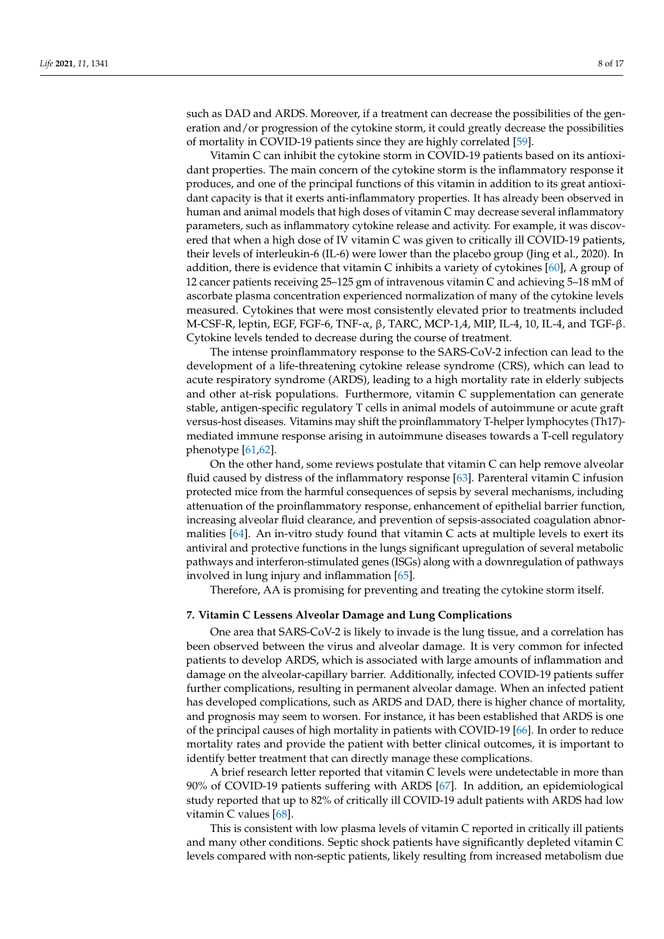such as DAD and ARDS. Moreover, if a treatment can decrease the possibilities of the generation and/or progression of the cytokine storm, it could greatly decrease the possibilities of mortality in COVID-19 patients since they are highly correlated [\[59\]](#page-14-20).

Vitamin C can inhibit the cytokine storm in COVID-19 patients based on its antioxidant properties. The main concern of the cytokine storm is the inflammatory response it produces, and one of the principal functions of this vitamin in addition to its great antioxidant capacity is that it exerts anti-inflammatory properties. It has already been observed in human and animal models that high doses of vitamin C may decrease several inflammatory parameters, such as inflammatory cytokine release and activity. For example, it was discovered that when a high dose of IV vitamin C was given to critically ill COVID-19 patients, their levels of interleukin-6 (IL-6) were lower than the placebo group (Jing et al., 2020). In addition, there is evidence that vitamin C inhibits a variety of cytokines [\[60\]](#page-14-21), A group of 12 cancer patients receiving 25–125 gm of intravenous vitamin C and achieving 5–18 mM of ascorbate plasma concentration experienced normalization of many of the cytokine levels measured. Cytokines that were most consistently elevated prior to treatments included M-CSF-R, leptin, EGF, FGF-6, TNF-α, β, TARC, MCP-1,4, MIP, IL-4, 10, IL-4, and TGF-β. Cytokine levels tended to decrease during the course of treatment.

The intense proinflammatory response to the SARS-CoV-2 infection can lead to the development of a life-threatening cytokine release syndrome (CRS), which can lead to acute respiratory syndrome (ARDS), leading to a high mortality rate in elderly subjects and other at-risk populations. Furthermore, vitamin C supplementation can generate stable, antigen-specific regulatory T cells in animal models of autoimmune or acute graft versus-host diseases. Vitamins may shift the proinflammatory T-helper lymphocytes (Th17) mediated immune response arising in autoimmune diseases towards a T-cell regulatory phenotype [\[61,](#page-14-22)[62\]](#page-14-23).

On the other hand, some reviews postulate that vitamin C can help remove alveolar fluid caused by distress of the inflammatory response [\[63\]](#page-14-24). Parenteral vitamin C infusion protected mice from the harmful consequences of sepsis by several mechanisms, including attenuation of the proinflammatory response, enhancement of epithelial barrier function, increasing alveolar fluid clearance, and prevention of sepsis-associated coagulation abnormalities  $[64]$ . An in-vitro study found that vitamin C acts at multiple levels to exert its antiviral and protective functions in the lungs significant upregulation of several metabolic pathways and interferon-stimulated genes (ISGs) along with a downregulation of pathways involved in lung injury and inflammation [\[65\]](#page-15-1).

Therefore, AA is promising for preventing and treating the cytokine storm itself.

#### **7. Vitamin C Lessens Alveolar Damage and Lung Complications**

One area that SARS-CoV-2 is likely to invade is the lung tissue, and a correlation has been observed between the virus and alveolar damage. It is very common for infected patients to develop ARDS, which is associated with large amounts of inflammation and damage on the alveolar-capillary barrier. Additionally, infected COVID-19 patients suffer further complications, resulting in permanent alveolar damage. When an infected patient has developed complications, such as ARDS and DAD, there is higher chance of mortality, and prognosis may seem to worsen. For instance, it has been established that ARDS is one of the principal causes of high mortality in patients with COVID-19 [\[66\]](#page-15-2). In order to reduce mortality rates and provide the patient with better clinical outcomes, it is important to identify better treatment that can directly manage these complications.

A brief research letter reported that vitamin C levels were undetectable in more than 90% of COVID-19 patients suffering with ARDS [\[67\]](#page-15-3). In addition, an epidemiological study reported that up to 82% of critically ill COVID-19 adult patients with ARDS had low vitamin C values [\[68\]](#page-15-4).

This is consistent with low plasma levels of vitamin C reported in critically ill patients and many other conditions. Septic shock patients have significantly depleted vitamin C levels compared with non-septic patients, likely resulting from increased metabolism due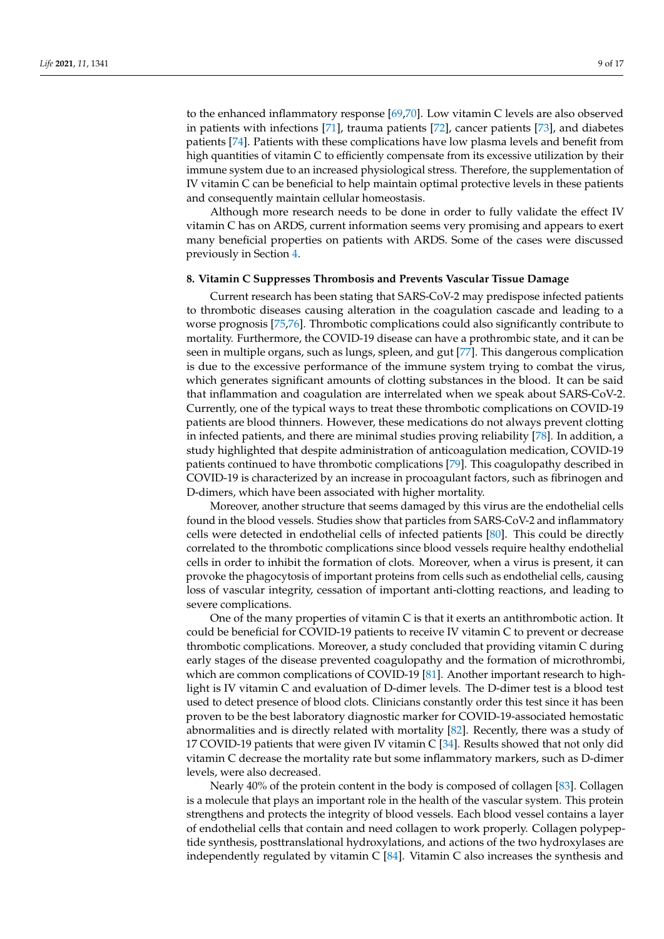to the enhanced inflammatory response [\[69,](#page-15-5)[70\]](#page-15-6). Low vitamin C levels are also observed in patients with infections [\[71\]](#page-15-7), trauma patients [\[72\]](#page-15-8), cancer patients [\[73\]](#page-15-9), and diabetes patients [\[74\]](#page-15-10). Patients with these complications have low plasma levels and benefit from high quantities of vitamin C to efficiently compensate from its excessive utilization by their immune system due to an increased physiological stress. Therefore, the supplementation of IV vitamin C can be beneficial to help maintain optimal protective levels in these patients and consequently maintain cellular homeostasis.

Although more research needs to be done in order to fully validate the effect IV vitamin C has on ARDS, current information seems very promising and appears to exert many beneficial properties on patients with ARDS. Some of the cases were discussed previously in Section [4.](#page-2-0)

#### **8. Vitamin C Suppresses Thrombosis and Prevents Vascular Tissue Damage**

Current research has been stating that SARS-CoV-2 may predispose infected patients to thrombotic diseases causing alteration in the coagulation cascade and leading to a worse prognosis [\[75,](#page-15-11)[76\]](#page-15-12). Thrombotic complications could also significantly contribute to mortality. Furthermore, the COVID-19 disease can have a prothrombic state, and it can be seen in multiple organs, such as lungs, spleen, and gut [\[77\]](#page-15-13). This dangerous complication is due to the excessive performance of the immune system trying to combat the virus, which generates significant amounts of clotting substances in the blood. It can be said that inflammation and coagulation are interrelated when we speak about SARS-CoV-2. Currently, one of the typical ways to treat these thrombotic complications on COVID-19 patients are blood thinners. However, these medications do not always prevent clotting in infected patients, and there are minimal studies proving reliability [\[78\]](#page-15-14). In addition, a study highlighted that despite administration of anticoagulation medication, COVID-19 patients continued to have thrombotic complications [\[79\]](#page-15-15). This coagulopathy described in COVID-19 is characterized by an increase in procoagulant factors, such as fibrinogen and D-dimers, which have been associated with higher mortality.

Moreover, another structure that seems damaged by this virus are the endothelial cells found in the blood vessels. Studies show that particles from SARS-CoV-2 and inflammatory cells were detected in endothelial cells of infected patients [\[80\]](#page-15-16). This could be directly correlated to the thrombotic complications since blood vessels require healthy endothelial cells in order to inhibit the formation of clots. Moreover, when a virus is present, it can provoke the phagocytosis of important proteins from cells such as endothelial cells, causing loss of vascular integrity, cessation of important anti-clotting reactions, and leading to severe complications.

One of the many properties of vitamin C is that it exerts an antithrombotic action. It could be beneficial for COVID-19 patients to receive IV vitamin C to prevent or decrease thrombotic complications. Moreover, a study concluded that providing vitamin C during early stages of the disease prevented coagulopathy and the formation of microthrombi, which are common complications of COVID-19 [\[81\]](#page-15-17). Another important research to highlight is IV vitamin C and evaluation of D-dimer levels. The D-dimer test is a blood test used to detect presence of blood clots. Clinicians constantly order this test since it has been proven to be the best laboratory diagnostic marker for COVID-19-associated hemostatic abnormalities and is directly related with mortality [\[82\]](#page-15-18). Recently, there was a study of 17 COVID-19 patients that were given IV vitamin C [\[34\]](#page-13-19). Results showed that not only did vitamin C decrease the mortality rate but some inflammatory markers, such as D-dimer levels, were also decreased.

Nearly 40% of the protein content in the body is composed of collagen [\[83\]](#page-15-19). Collagen is a molecule that plays an important role in the health of the vascular system. This protein strengthens and protects the integrity of blood vessels. Each blood vessel contains a layer of endothelial cells that contain and need collagen to work properly. Collagen polypeptide synthesis, posttranslational hydroxylations, and actions of the two hydroxylases are independently regulated by vitamin  $C$  [\[84\]](#page-15-20). Vitamin  $C$  also increases the synthesis and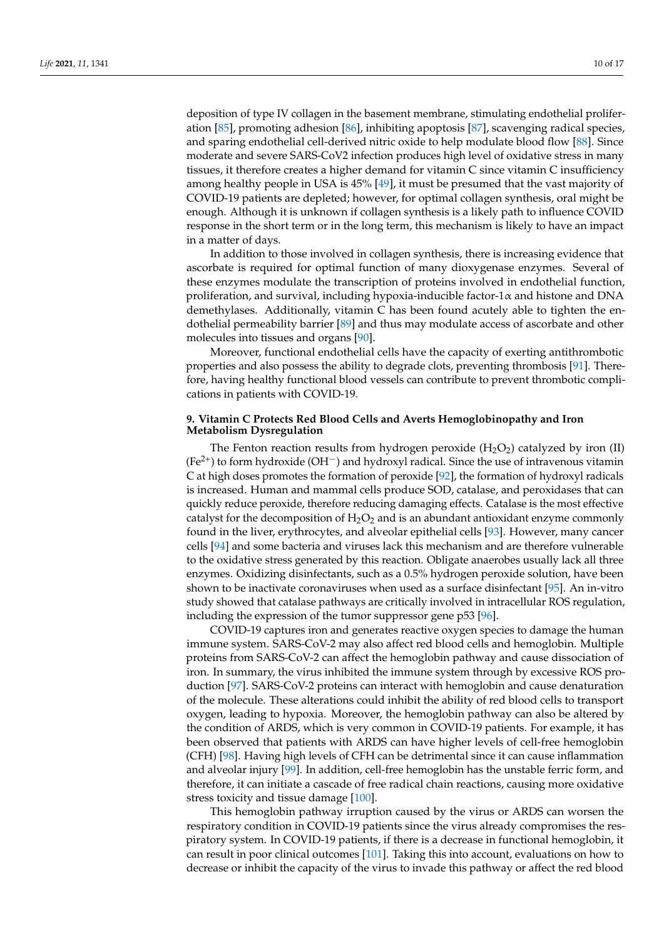deposition of type IV collagen in the basement membrane, stimulating endothelial proliferation [\[85\]](#page-15-21), promoting adhesion [\[86\]](#page-15-22), inhibiting apoptosis [\[87\]](#page-15-23), scavenging radical species, and sparing endothelial cell-derived nitric oxide to help modulate blood flow [\[88\]](#page-15-24). Since moderate and severe SARS-CoV2 infection produces high level of oxidative stress in many tissues, it therefore creates a higher demand for vitamin C since vitamin C insufficiency among healthy people in USA is 45% [\[49\]](#page-14-10), it must be presumed that the vast majority of COVID-19 patients are depleted; however, for optimal collagen synthesis, oral might be enough. Although it is unknown if collagen synthesis is a likely path to influence COVID response in the short term or in the long term, this mechanism is likely to have an impact in a matter of days.

In addition to those involved in collagen synthesis, there is increasing evidence that ascorbate is required for optimal function of many dioxygenase enzymes. Several of these enzymes modulate the transcription of proteins involved in endothelial function, proliferation, and survival, including hypoxia-inducible factor-1 $\alpha$  and histone and DNA demethylases. Additionally, vitamin C has been found acutely able to tighten the endothelial permeability barrier [\[89\]](#page-15-25) and thus may modulate access of ascorbate and other molecules into tissues and organs [\[90\]](#page-15-26).

Moreover, functional endothelial cells have the capacity of exerting antithrombotic properties and also possess the ability to degrade clots, preventing thrombosis [\[91\]](#page-15-27). Therefore, having healthy functional blood vessels can contribute to prevent thrombotic complications in patients with COVID-19.

# **9. Vitamin C Protects Red Blood Cells and Averts Hemoglobinopathy and Iron Metabolism Dysregulation**

The Fenton reaction results from hydrogen peroxide  $(H_2O_2)$  catalyzed by iron (II)  $(Fe^{2+})$  to form hydroxide (OH<sup>-</sup>) and hydroxyl radical. Since the use of intravenous vitamin C at high doses promotes the formation of peroxide [\[92\]](#page-15-28), the formation of hydroxyl radicals is increased. Human and mammal cells produce SOD, catalase, and peroxidases that can quickly reduce peroxide, therefore reducing damaging effects. Catalase is the most effective catalyst for the decomposition of  $H_2O_2$  and is an abundant antioxidant enzyme commonly found in the liver, erythrocytes, and alveolar epithelial cells [\[93\]](#page-16-0). However, many cancer cells [\[94\]](#page-16-1) and some bacteria and viruses lack this mechanism and are therefore vulnerable to the oxidative stress generated by this reaction. Obligate anaerobes usually lack all three enzymes. Oxidizing disinfectants, such as a 0.5% hydrogen peroxide solution, have been shown to be inactivate coronaviruses when used as a surface disinfectant [\[95\]](#page-16-2). An in-vitro study showed that catalase pathways are critically involved in intracellular ROS regulation, including the expression of the tumor suppressor gene p53 [\[96\]](#page-16-3).

COVID-19 captures iron and generates reactive oxygen species to damage the human immune system. SARS-CoV-2 may also affect red blood cells and hemoglobin. Multiple proteins from SARS-CoV-2 can affect the hemoglobin pathway and cause dissociation of iron. In summary, the virus inhibited the immune system through by excessive ROS production [\[97\]](#page-16-4). SARS-CoV-2 proteins can interact with hemoglobin and cause denaturation of the molecule. These alterations could inhibit the ability of red blood cells to transport oxygen, leading to hypoxia. Moreover, the hemoglobin pathway can also be altered by the condition of ARDS, which is very common in COVID-19 patients. For example, it has been observed that patients with ARDS can have higher levels of cell-free hemoglobin (CFH) [\[98\]](#page-16-5). Having high levels of CFH can be detrimental since it can cause inflammation and alveolar injury [\[99\]](#page-16-6). In addition, cell-free hemoglobin has the unstable ferric form, and therefore, it can initiate a cascade of free radical chain reactions, causing more oxidative stress toxicity and tissue damage [\[100\]](#page-16-7).

This hemoglobin pathway irruption caused by the virus or ARDS can worsen the respiratory condition in COVID-19 patients since the virus already compromises the respiratory system. In COVID-19 patients, if there is a decrease in functional hemoglobin, it can result in poor clinical outcomes [\[101\]](#page-16-8). Taking this into account, evaluations on how to decrease or inhibit the capacity of the virus to invade this pathway or affect the red blood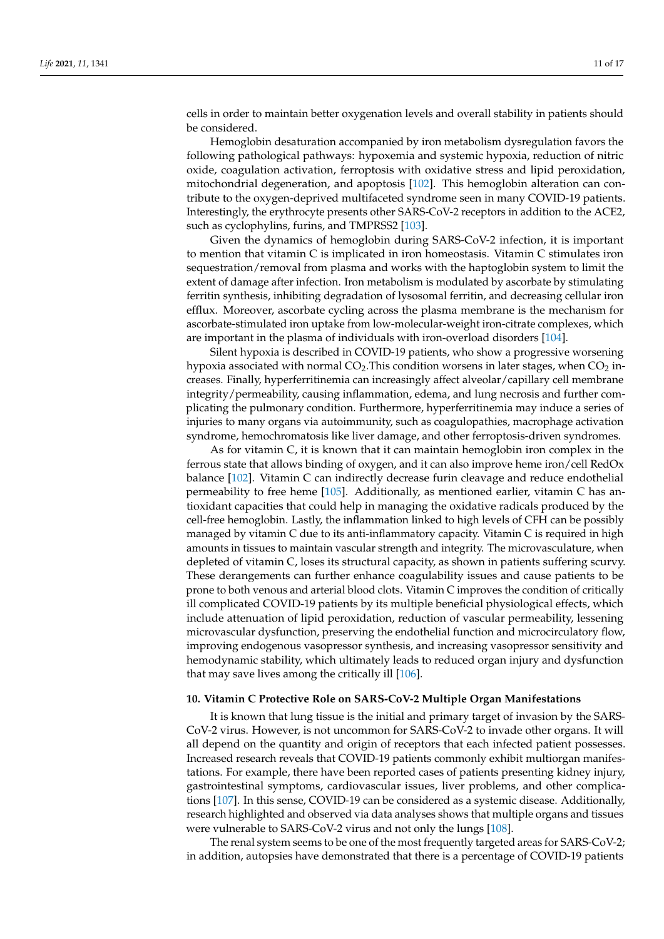cells in order to maintain better oxygenation levels and overall stability in patients should be considered.

Hemoglobin desaturation accompanied by iron metabolism dysregulation favors the following pathological pathways: hypoxemia and systemic hypoxia, reduction of nitric oxide, coagulation activation, ferroptosis with oxidative stress and lipid peroxidation, mitochondrial degeneration, and apoptosis [\[102\]](#page-16-9). This hemoglobin alteration can contribute to the oxygen-deprived multifaceted syndrome seen in many COVID-19 patients. Interestingly, the erythrocyte presents other SARS-CoV-2 receptors in addition to the ACE2, such as cyclophylins, furins, and TMPRSS2 [\[103\]](#page-16-10).

Given the dynamics of hemoglobin during SARS-CoV-2 infection, it is important to mention that vitamin C is implicated in iron homeostasis. Vitamin C stimulates iron sequestration/removal from plasma and works with the haptoglobin system to limit the extent of damage after infection. Iron metabolism is modulated by ascorbate by stimulating ferritin synthesis, inhibiting degradation of lysosomal ferritin, and decreasing cellular iron efflux. Moreover, ascorbate cycling across the plasma membrane is the mechanism for ascorbate-stimulated iron uptake from low-molecular-weight iron-citrate complexes, which are important in the plasma of individuals with iron-overload disorders [\[104\]](#page-16-11).

Silent hypoxia is described in COVID-19 patients, who show a progressive worsening hypoxia associated with normal  $CO<sub>2</sub>$ . This condition worsens in later stages, when  $CO<sub>2</sub>$  increases. Finally, hyperferritinemia can increasingly affect alveolar/capillary cell membrane integrity/permeability, causing inflammation, edema, and lung necrosis and further complicating the pulmonary condition. Furthermore, hyperferritinemia may induce a series of injuries to many organs via autoimmunity, such as coagulopathies, macrophage activation syndrome, hemochromatosis like liver damage, and other ferroptosis-driven syndromes.

As for vitamin C, it is known that it can maintain hemoglobin iron complex in the ferrous state that allows binding of oxygen, and it can also improve heme iron/cell RedOx balance [\[102\]](#page-16-9). Vitamin C can indirectly decrease furin cleavage and reduce endothelial permeability to free heme [\[105\]](#page-16-12). Additionally, as mentioned earlier, vitamin C has antioxidant capacities that could help in managing the oxidative radicals produced by the cell-free hemoglobin. Lastly, the inflammation linked to high levels of CFH can be possibly managed by vitamin C due to its anti-inflammatory capacity. Vitamin C is required in high amounts in tissues to maintain vascular strength and integrity. The microvasculature, when depleted of vitamin C, loses its structural capacity, as shown in patients suffering scurvy. These derangements can further enhance coagulability issues and cause patients to be prone to both venous and arterial blood clots. Vitamin C improves the condition of critically ill complicated COVID-19 patients by its multiple beneficial physiological effects, which include attenuation of lipid peroxidation, reduction of vascular permeability, lessening microvascular dysfunction, preserving the endothelial function and microcirculatory flow, improving endogenous vasopressor synthesis, and increasing vasopressor sensitivity and hemodynamic stability, which ultimately leads to reduced organ injury and dysfunction that may save lives among the critically ill [\[106\]](#page-16-13).

#### **10. Vitamin C Protective Role on SARS-CoV-2 Multiple Organ Manifestations**

It is known that lung tissue is the initial and primary target of invasion by the SARS-CoV-2 virus. However, is not uncommon for SARS-CoV-2 to invade other organs. It will all depend on the quantity and origin of receptors that each infected patient possesses. Increased research reveals that COVID-19 patients commonly exhibit multiorgan manifestations. For example, there have been reported cases of patients presenting kidney injury, gastrointestinal symptoms, cardiovascular issues, liver problems, and other complications [\[107\]](#page-16-14). In this sense, COVID-19 can be considered as a systemic disease. Additionally, research highlighted and observed via data analyses shows that multiple organs and tissues were vulnerable to SARS-CoV-2 virus and not only the lungs [\[108\]](#page-16-15).

The renal system seems to be one of the most frequently targeted areas for SARS-CoV-2; in addition, autopsies have demonstrated that there is a percentage of COVID-19 patients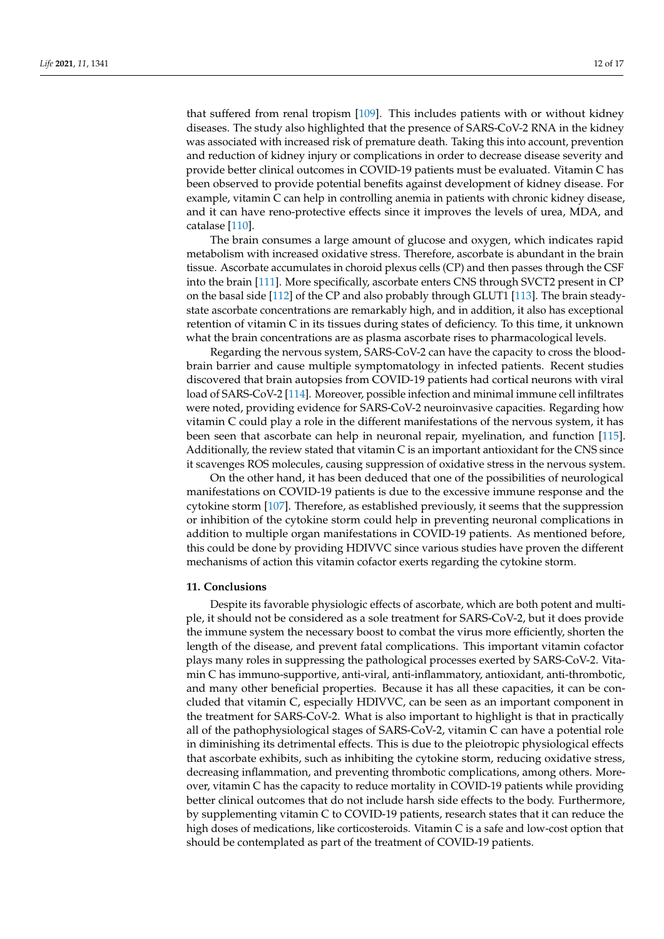that suffered from renal tropism [\[109\]](#page-16-16). This includes patients with or without kidney diseases. The study also highlighted that the presence of SARS-CoV-2 RNA in the kidney was associated with increased risk of premature death. Taking this into account, prevention and reduction of kidney injury or complications in order to decrease disease severity and provide better clinical outcomes in COVID-19 patients must be evaluated. Vitamin C has been observed to provide potential benefits against development of kidney disease. For example, vitamin C can help in controlling anemia in patients with chronic kidney disease, and it can have reno-protective effects since it improves the levels of urea, MDA, and catalase [\[110\]](#page-16-17).

The brain consumes a large amount of glucose and oxygen, which indicates rapid metabolism with increased oxidative stress. Therefore, ascorbate is abundant in the brain tissue. Ascorbate accumulates in choroid plexus cells (CP) and then passes through the CSF into the brain [\[111\]](#page-16-18). More specifically, ascorbate enters CNS through SVCT2 present in CP on the basal side [\[112\]](#page-16-19) of the CP and also probably through GLUT1 [\[113\]](#page-16-20). The brain steadystate ascorbate concentrations are remarkably high, and in addition, it also has exceptional retention of vitamin C in its tissues during states of deficiency. To this time, it unknown what the brain concentrations are as plasma ascorbate rises to pharmacological levels.

Regarding the nervous system, SARS-CoV-2 can have the capacity to cross the bloodbrain barrier and cause multiple symptomatology in infected patients. Recent studies discovered that brain autopsies from COVID-19 patients had cortical neurons with viral load of SARS-CoV-2 [\[114\]](#page-16-21). Moreover, possible infection and minimal immune cell infiltrates were noted, providing evidence for SARS-CoV-2 neuroinvasive capacities. Regarding how vitamin C could play a role in the different manifestations of the nervous system, it has been seen that ascorbate can help in neuronal repair, myelination, and function [\[115\]](#page-16-22). Additionally, the review stated that vitamin C is an important antioxidant for the CNS since it scavenges ROS molecules, causing suppression of oxidative stress in the nervous system.

On the other hand, it has been deduced that one of the possibilities of neurological manifestations on COVID-19 patients is due to the excessive immune response and the cytokine storm [\[107\]](#page-16-14). Therefore, as established previously, it seems that the suppression or inhibition of the cytokine storm could help in preventing neuronal complications in addition to multiple organ manifestations in COVID-19 patients. As mentioned before, this could be done by providing HDIVVC since various studies have proven the different mechanisms of action this vitamin cofactor exerts regarding the cytokine storm.

#### **11. Conclusions**

Despite its favorable physiologic effects of ascorbate, which are both potent and multiple, it should not be considered as a sole treatment for SARS-CoV-2, but it does provide the immune system the necessary boost to combat the virus more efficiently, shorten the length of the disease, and prevent fatal complications. This important vitamin cofactor plays many roles in suppressing the pathological processes exerted by SARS-CoV-2. Vitamin C has immuno-supportive, anti-viral, anti-inflammatory, antioxidant, anti-thrombotic, and many other beneficial properties. Because it has all these capacities, it can be concluded that vitamin C, especially HDIVVC, can be seen as an important component in the treatment for SARS-CoV-2. What is also important to highlight is that in practically all of the pathophysiological stages of SARS-CoV-2, vitamin C can have a potential role in diminishing its detrimental effects. This is due to the pleiotropic physiological effects that ascorbate exhibits, such as inhibiting the cytokine storm, reducing oxidative stress, decreasing inflammation, and preventing thrombotic complications, among others. Moreover, vitamin C has the capacity to reduce mortality in COVID-19 patients while providing better clinical outcomes that do not include harsh side effects to the body. Furthermore, by supplementing vitamin C to COVID-19 patients, research states that it can reduce the high doses of medications, like corticosteroids. Vitamin C is a safe and low-cost option that should be contemplated as part of the treatment of COVID-19 patients.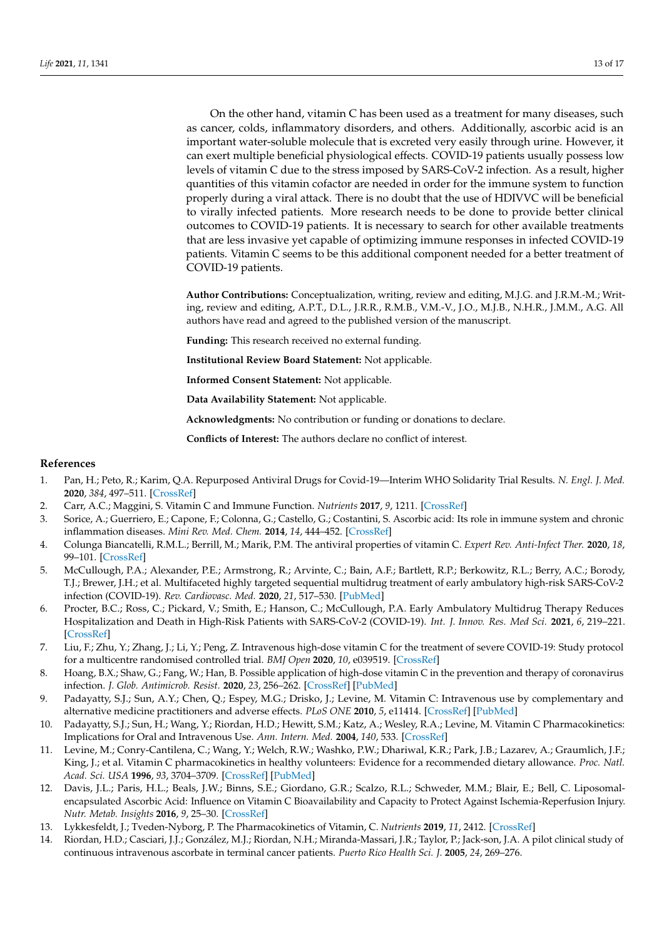On the other hand, vitamin C has been used as a treatment for many diseases, such as cancer, colds, inflammatory disorders, and others. Additionally, ascorbic acid is an important water-soluble molecule that is excreted very easily through urine. However, it can exert multiple beneficial physiological effects. COVID-19 patients usually possess low levels of vitamin C due to the stress imposed by SARS-CoV-2 infection. As a result, higher quantities of this vitamin cofactor are needed in order for the immune system to function properly during a viral attack. There is no doubt that the use of HDIVVC will be beneficial to virally infected patients. More research needs to be done to provide better clinical outcomes to COVID-19 patients. It is necessary to search for other available treatments that are less invasive yet capable of optimizing immune responses in infected COVID-19 patients. Vitamin C seems to be this additional component needed for a better treatment of COVID-19 patients.

**Author Contributions:** Conceptualization, writing, review and editing, M.J.G. and J.R.M.-M.; Writing, review and editing, A.P.T., D.L., J.R.R., R.M.B., V.M.-V., J.O., M.J.B., N.H.R., J.M.M., A.G. All authors have read and agreed to the published version of the manuscript.

**Funding:** This research received no external funding.

**Institutional Review Board Statement:** Not applicable.

**Informed Consent Statement:** Not applicable.

**Data Availability Statement:** Not applicable.

**Acknowledgments:** No contribution or funding or donations to declare.

**Conflicts of Interest:** The authors declare no conflict of interest.

## **References**

- <span id="page-12-0"></span>1. Pan, H.; Peto, R.; Karim, Q.A. Repurposed Antiviral Drugs for Covid-19—Interim WHO Solidarity Trial Results. *N. Engl. J. Med.* **2020**, *384*, 497–511. [\[CrossRef\]](http://doi.org/10.1056/NEJMoa2023184)
- <span id="page-12-1"></span>2. Carr, A.C.; Maggini, S. Vitamin C and Immune Function. *Nutrients* **2017**, *9*, 1211. [\[CrossRef\]](http://doi.org/10.3390/nu9111211)
- <span id="page-12-2"></span>3. Sorice, A.; Guerriero, E.; Capone, F.; Colonna, G.; Castello, G.; Costantini, S. Ascorbic acid: Its role in immune system and chronic inflammation diseases. *Mini Rev. Med. Chem.* **2014**, *14*, 444–452. [\[CrossRef\]](http://doi.org/10.2174/1389557514666140428112602)
- <span id="page-12-3"></span>4. Colunga Biancatelli, R.M.L.; Berrill, M.; Marik, P.M. The antiviral properties of vitamin C. *Expert Rev. Anti-Infect Ther.* **2020**, *18*, 99–101. [\[CrossRef\]](http://doi.org/10.1080/14787210.2020.1706483)
- <span id="page-12-4"></span>5. McCullough, P.A.; Alexander, P.E.; Armstrong, R.; Arvinte, C.; Bain, A.F.; Bartlett, R.P.; Berkowitz, R.L.; Berry, A.C.; Borody, T.J.; Brewer, J.H.; et al. Multifaceted highly targeted sequential multidrug treatment of early ambulatory high-risk SARS-CoV-2 infection (COVID-19). *Rev. Cardiovasc. Med.* **2020**, *21*, 517–530. [\[PubMed\]](http://www.ncbi.nlm.nih.gov/pubmed/33387997)
- <span id="page-12-5"></span>6. Procter, B.C.; Ross, C.; Pickard, V.; Smith, E.; Hanson, C.; McCullough, P.A. Early Ambulatory Multidrug Therapy Reduces Hospitalization and Death in High-Risk Patients with SARS-CoV-2 (COVID-19). *Int. J. Innov. Res. Med Sci.* **2021**, *6*, 219–221. [\[CrossRef\]](http://doi.org/10.23958/ijirms/vol06-i03/1100)
- <span id="page-12-6"></span>7. Liu, F.; Zhu, Y.; Zhang, J.; Li, Y.; Peng, Z. Intravenous high-dose vitamin C for the treatment of severe COVID-19: Study protocol for a multicentre randomised controlled trial. *BMJ Open* **2020**, *10*, e039519. [\[CrossRef\]](http://doi.org/10.1136/bmjopen-2020-039519)
- <span id="page-12-7"></span>8. Hoang, B.X.; Shaw, G.; Fang, W.; Han, B. Possible application of high-dose vitamin C in the prevention and therapy of coronavirus infection. *J. Glob. Antimicrob. Resist.* **2020**, *23*, 256–262. [\[CrossRef\]](http://doi.org/10.1016/j.jgar.2020.09.025) [\[PubMed\]](http://www.ncbi.nlm.nih.gov/pubmed/33065330)
- <span id="page-12-8"></span>9. Padayatty, S.J.; Sun, A.Y.; Chen, Q.; Espey, M.G.; Drisko, J.; Levine, M. Vitamin C: Intravenous use by complementary and alternative medicine practitioners and adverse effects. *PLoS ONE* **2010**, *5*, e11414. [\[CrossRef\]](http://doi.org/10.1371/journal.pone.0011414) [\[PubMed\]](http://www.ncbi.nlm.nih.gov/pubmed/20628650)
- <span id="page-12-9"></span>10. Padayatty, S.J.; Sun, H.; Wang, Y.; Riordan, H.D.; Hewitt, S.M.; Katz, A.; Wesley, R.A.; Levine, M. Vitamin C Pharmacokinetics: Implications for Oral and Intravenous Use. *Ann. Intern. Med.* **2004**, *140*, 533. [\[CrossRef\]](http://doi.org/10.7326/0003-4819-140-7-200404060-00010)
- <span id="page-12-10"></span>11. Levine, M.; Conry-Cantilena, C.; Wang, Y.; Welch, R.W.; Washko, P.W.; Dhariwal, K.R.; Park, J.B.; Lazarev, A.; Graumlich, J.F.; King, J.; et al. Vitamin C pharmacokinetics in healthy volunteers: Evidence for a recommended dietary allowance. *Proc. Natl. Acad. Sci. USA* **1996**, *93*, 3704–3709. [\[CrossRef\]](http://doi.org/10.1073/pnas.93.8.3704) [\[PubMed\]](http://www.ncbi.nlm.nih.gov/pubmed/8623000)
- <span id="page-12-11"></span>12. Davis, J.L.; Paris, H.L.; Beals, J.W.; Binns, S.E.; Giordano, G.R.; Scalzo, R.L.; Schweder, M.M.; Blair, E.; Bell, C. Liposomalencapsulated Ascorbic Acid: Influence on Vitamin C Bioavailability and Capacity to Protect Against Ischemia-Reperfusion Injury. *Nutr. Metab. Insights* **2016**, *9*, 25–30. [\[CrossRef\]](http://doi.org/10.4137/NMI.S39764)
- <span id="page-12-12"></span>13. Lykkesfeldt, J.; Tveden-Nyborg, P. The Pharmacokinetics of Vitamin, C. *Nutrients* **2019**, *11*, 2412. [\[CrossRef\]](http://doi.org/10.3390/nu11102412)
- <span id="page-12-13"></span>14. Riordan, H.D.; Casciari, J.J.; González, M.J.; Riordan, N.H.; Miranda-Massari, J.R.; Taylor, P.; Jack-son, J.A. A pilot clinical study of continuous intravenous ascorbate in terminal cancer patients. *Puerto Rico Health Sci. J.* **2005**, *24*, 269–276.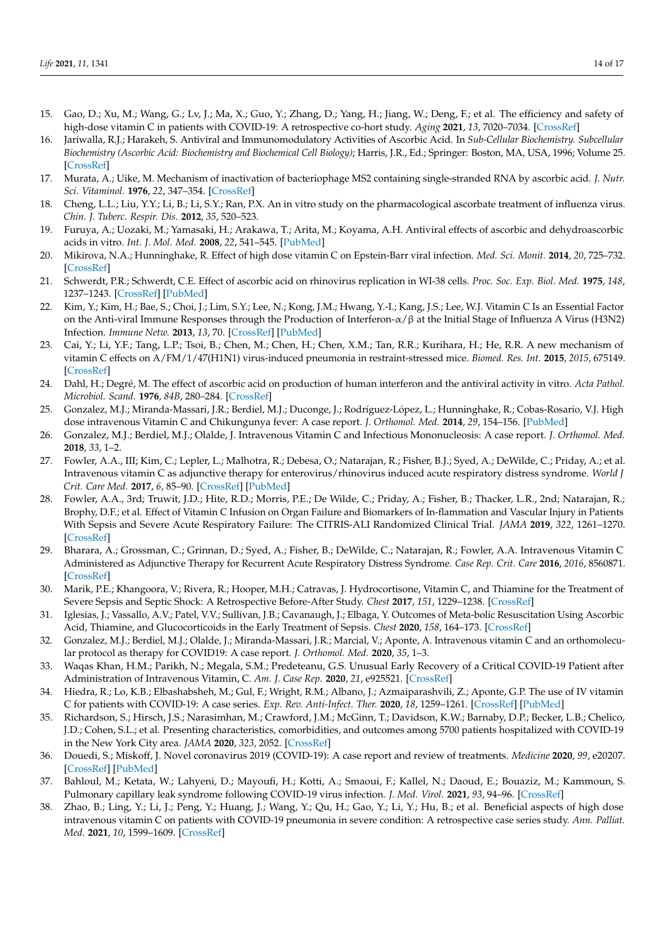- <span id="page-13-0"></span>15. Gao, D.; Xu, M.; Wang, G.; Lv, J.; Ma, X.; Guo, Y.; Zhang, D.; Yang, H.; Jiang, W.; Deng, F.; et al. The efficiency and safety of high-dose vitamin C in patients with COVID-19: A retrospective co-hort study. *Aging* **2021**, *13*, 7020–7034. [\[CrossRef\]](http://doi.org/10.18632/aging.202557)
- <span id="page-13-1"></span>16. Jariwalla, R.J.; Harakeh, S. Antiviral and Immunomodulatory Activities of Ascorbic Acid. In *Sub-Cellular Biochemistry. Subcellular Biochemistry (Ascorbic Acid: Biochemistry and Biochemical Cell Biology)*; Harris, J.R., Ed.; Springer: Boston, MA, USA, 1996; Volume 25. [\[CrossRef\]](http://doi.org/10.1007/978-1-4613-0325-1_11)
- <span id="page-13-2"></span>17. Murata, A.; Uike, M. Mechanism of inactivation of bacteriophage MS2 containing single-stranded RNA by ascorbic acid. *J. Nutr. Sci. Vitaminol.* **1976**, *22*, 347–354. [\[CrossRef\]](http://doi.org/10.3177/jnsv.22.347)
- <span id="page-13-3"></span>18. Cheng, L.L.; Liu, Y.Y.; Li, B.; Li, S.Y.; Ran, P.X. An in vitro study on the pharmacological ascorbate treatment of influenza virus. *Chin. J. Tuberc. Respir. Dis.* **2012**, *35*, 520–523.
- <span id="page-13-4"></span>19. Furuya, A.; Uozaki, M.; Yamasaki, H.; Arakawa, T.; Arita, M.; Koyama, A.H. Antiviral effects of ascorbic and dehydroascorbic acids in vitro. *Int. J. Mol. Med.* **2008**, *22*, 541–545. [\[PubMed\]](http://www.ncbi.nlm.nih.gov/pubmed/18813862)
- <span id="page-13-5"></span>20. Mikirova, N.A.; Hunninghake, R. Effect of high dose vitamin C on Epstein-Barr viral infection. *Med. Sci. Monit.* **2014**, *20*, 725–732. [\[CrossRef\]](http://doi.org/10.12659/msm.890423)
- <span id="page-13-6"></span>21. Schwerdt, P.R.; Schwerdt, C.E. Effect of ascorbic acid on rhinovirus replication in WI-38 cells. *Proc. Soc. Exp. Biol. Med.* **1975**, *148*, 1237–1243. [\[CrossRef\]](http://doi.org/10.3181/00379727-148-38724) [\[PubMed\]](http://www.ncbi.nlm.nih.gov/pubmed/165544)
- <span id="page-13-7"></span>22. Kim, Y.; Kim, H.; Bae, S.; Choi, J.; Lim, S.Y.; Lee, N.; Kong, J.M.; Hwang, Y.-I.; Kang, J.S.; Lee, W.J. Vitamin C Is an Essential Factor on the Anti-viral Immune Responses through the Production of Interferon-α/β at the Initial Stage of Influenza A Virus (H3N2) Infection. *Immune Netw.* **2013**, *13*, 70. [\[CrossRef\]](http://doi.org/10.4110/in.2013.13.2.70) [\[PubMed\]](http://www.ncbi.nlm.nih.gov/pubmed/23700397)
- <span id="page-13-8"></span>23. Cai, Y.; Li, Y.F.; Tang, L.P.; Tsoi, B.; Chen, M.; Chen, H.; Chen, X.M.; Tan, R.R.; Kurihara, H.; He, R.R. A new mechanism of vitamin C effects on A/FM/1/47(H1N1) virus-induced pneumonia in restraint-stressed mice. *Biomed. Res. Int.* **2015**, *2015*, 675149. [\[CrossRef\]](http://doi.org/10.1155/2015/675149)
- <span id="page-13-9"></span>24. Dahl, H.; Degré, M. The effect of ascorbic acid on production of human interferon and the antiviral activity in vitro. *Acta Pathol. Microbiol. Scand.* **1976**, *84B*, 280–284. [\[CrossRef\]](http://doi.org/10.1111/j.1699-0463.1976.tb01938.x)
- <span id="page-13-10"></span>25. Gonzalez, M.J.; Miranda-Massari, J.R.; Berdiel, M.J.; Duconge, J.; Rodríguez-López, L.; Hunninghake, R.; Cobas-Rosario, V.J. High dose intravenous Vitamin C and Chikungunya fever: A case report. *J. Orthomol. Med.* **2014**, *29*, 154–156. [\[PubMed\]](http://www.ncbi.nlm.nih.gov/pubmed/25705076)
- <span id="page-13-11"></span>26. Gonzalez, M.J.; Berdiel, M.J.; Olalde, J. Intravenous Vitamin C and Infectious Mononucleosis: A case report. *J. Orthomol. Med.* **2018**, *33*, 1–2.
- <span id="page-13-12"></span>27. Fowler, A.A., III; Kim, C.; Lepler, L.; Malhotra, R.; Debesa, O.; Natarajan, R.; Fisher, B.J.; Syed, A.; DeWilde, C.; Priday, A.; et al. Intravenous vitamin C as adjunctive therapy for enterovirus/rhinovirus induced acute respiratory distress syndrome. *World J Crit. Care Med.* **2017**, *6*, 85–90. [\[CrossRef\]](http://doi.org/10.5492/wjccm.v6.i1.85) [\[PubMed\]](http://www.ncbi.nlm.nih.gov/pubmed/28224112)
- <span id="page-13-13"></span>28. Fowler, A.A., 3rd; Truwit, J.D.; Hite, R.D.; Morris, P.E.; De Wilde, C.; Priday, A.; Fisher, B.; Thacker, L.R., 2nd; Natarajan, R.; Brophy, D.F.; et al. Effect of Vitamin C Infusion on Organ Failure and Biomarkers of In-flammation and Vascular Injury in Patients With Sepsis and Severe Acute Respiratory Failure: The CITRIS-ALI Randomized Clinical Trial. *JAMA* **2019**, *322*, 1261–1270. [\[CrossRef\]](http://doi.org/10.1001/jama.2019.11825)
- <span id="page-13-14"></span>29. Bharara, A.; Grossman, C.; Grinnan, D.; Syed, A.; Fisher, B.; DeWilde, C.; Natarajan, R.; Fowler, A.A. Intravenous Vitamin C Administered as Adjunctive Therapy for Recurrent Acute Respiratory Distress Syndrome. *Case Rep. Crit. Care* **2016**, *2016*, 8560871. [\[CrossRef\]](http://doi.org/10.1155/2016/8560871)
- <span id="page-13-15"></span>30. Marik, P.E.; Khangoora, V.; Rivera, R.; Hooper, M.H.; Catravas, J. Hydrocortisone, Vitamin C, and Thiamine for the Treatment of Severe Sepsis and Septic Shock: A Retrospective Before-After Study. *Chest* **2017**, *151*, 1229–1238. [\[CrossRef\]](http://doi.org/10.1016/j.chest.2016.11.036)
- <span id="page-13-16"></span>31. Iglesias, J.; Vassallo, A.V.; Patel, V.V.; Sullivan, J.B.; Cavanaugh, J.; Elbaga, Y. Outcomes of Meta-bolic Resuscitation Using Ascorbic Acid, Thiamine, and Glucocorticoids in the Early Treatment of Sepsis. *Chest* **2020**, *158*, 164–173. [\[CrossRef\]](http://doi.org/10.1016/j.chest.2020.02.049)
- <span id="page-13-17"></span>32. Gonzalez, M.J.; Berdiel, M.J.; Olalde, J.; Miranda-Massari, J.R.; Marcial, V.; Aponte, A. Intravenous vitamin C and an orthomolecular protocol as therapy for COVID19: A case report. *J. Orthomol. Med.* **2020**, *35*, 1–3.
- <span id="page-13-18"></span>33. Waqas Khan, H.M.; Parikh, N.; Megala, S.M.; Predeteanu, G.S. Unusual Early Recovery of a Critical COVID-19 Patient after Administration of Intravenous Vitamin, C. *Am. J. Case Rep.* **2020**, *21*, e925521. [\[CrossRef\]](http://doi.org/10.12659/AJCR.925521)
- <span id="page-13-19"></span>34. Hiedra, R.; Lo, K.B.; Elbashabsheh, M.; Gul, F.; Wright, R.M.; Albano, J.; Azmaiparashvili, Z.; Aponte, G.P. The use of IV vitamin C for patients with COVID-19: A case series. *Exp. Rev. Anti-Infect. Ther.* **2020**, *18*, 1259–1261. [\[CrossRef\]](http://doi.org/10.1080/14787210.2020.1794819) [\[PubMed\]](http://www.ncbi.nlm.nih.gov/pubmed/32662690)
- <span id="page-13-20"></span>35. Richardson, S.; Hirsch, J.S.; Narasimhan, M.; Crawford, J.M.; McGinn, T.; Davidson, K.W.; Barnaby, D.P.; Becker, L.B.; Chelico, J.D.; Cohen, S.L.; et al. Presenting characteristics, comorbidities, and outcomes among 5700 patients hospitalized with COVID-19 in the New York City area. *JAMA* **2020**, *323*, 2052. [\[CrossRef\]](http://doi.org/10.1001/jama.2020.6775)
- <span id="page-13-21"></span>36. Douedi, S.; Miskoff, J. Novel coronavirus 2019 (COVID-19): A case report and review of treatments. *Medicine* **2020**, *99*, e20207. [\[CrossRef\]](http://doi.org/10.1097/MD.0000000000020207) [\[PubMed\]](http://www.ncbi.nlm.nih.gov/pubmed/32384516)
- <span id="page-13-22"></span>37. Bahloul, M.; Ketata, W.; Lahyeni, D.; Mayoufi, H.; Kotti, A.; Smaoui, F.; Kallel, N.; Daoud, E.; Bouaziz, M.; Kammoun, S. Pulmonary capillary leak syndrome following COVID-19 virus infection. *J. Med. Virol.* **2021**, *93*, 94–96. [\[CrossRef\]](http://doi.org/10.1002/jmv.26152)
- <span id="page-13-23"></span>38. Zhao, B.; Ling, Y.; Li, J.; Peng, Y.; Huang, J.; Wang, Y.; Qu, H.; Gao, Y.; Li, Y.; Hu, B.; et al. Beneficial aspects of high dose intravenous vitamin C on patients with COVID-19 pneumonia in severe condition: A retrospective case series study. *Ann. Palliat. Med.* **2021**, *10*, 1599–1609. [\[CrossRef\]](http://doi.org/10.21037/apm-20-1387)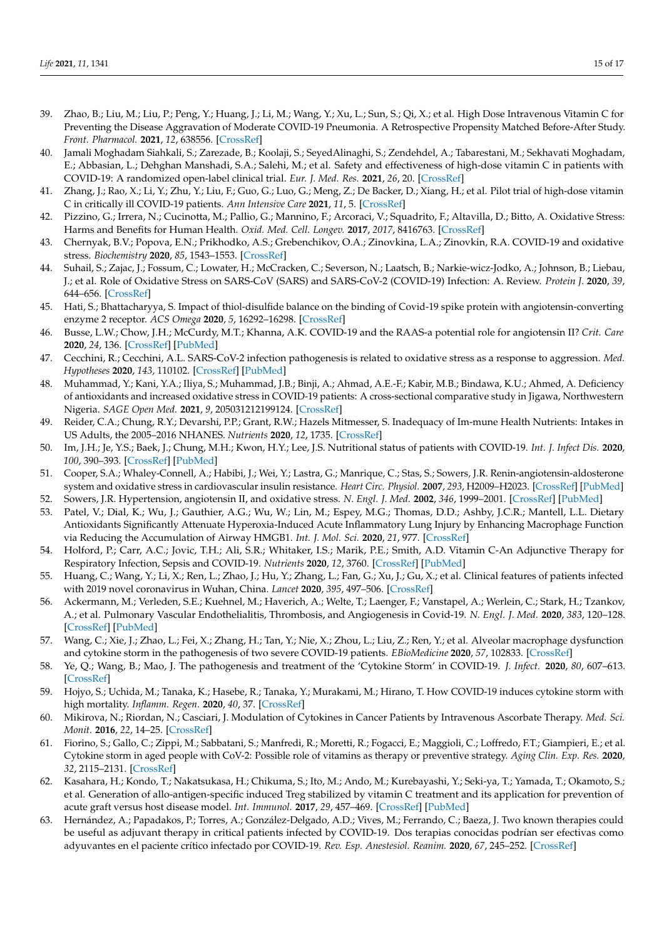- <span id="page-14-0"></span>39. Zhao, B.; Liu, M.; Liu, P.; Peng, Y.; Huang, J.; Li, M.; Wang, Y.; Xu, L.; Sun, S.; Qi, X.; et al. High Dose Intravenous Vitamin C for Preventing the Disease Aggravation of Moderate COVID-19 Pneumonia. A Retrospective Propensity Matched Before-After Study. *Front. Pharmacol.* **2021**, *12*, 638556. [\[CrossRef\]](http://doi.org/10.3389/fphar.2021.638556)
- <span id="page-14-1"></span>40. Jamali Moghadam Siahkali, S.; Zarezade, B.; Koolaji, S.; SeyedAlinaghi, S.; Zendehdel, A.; Tabarestani, M.; Sekhavati Moghadam, E.; Abbasian, L.; Dehghan Manshadi, S.A.; Salehi, M.; et al. Safety and effectiveness of high-dose vitamin C in patients with COVID-19: A randomized open-label clinical trial. *Eur. J. Med. Res.* **2021**, *26*, 20. [\[CrossRef\]](http://doi.org/10.1186/s40001-021-00490-1)
- <span id="page-14-2"></span>41. Zhang, J.; Rao, X.; Li, Y.; Zhu, Y.; Liu, F.; Guo, G.; Luo, G.; Meng, Z.; De Backer, D.; Xiang, H.; et al. Pilot trial of high-dose vitamin C in critically ill COVID-19 patients. *Ann Intensive Care* **2021**, *11*, 5. [\[CrossRef\]](http://doi.org/10.1186/s13613-020-00792-3)
- <span id="page-14-3"></span>42. Pizzino, G.; Irrera, N.; Cucinotta, M.; Pallio, G.; Mannino, F.; Arcoraci, V.; Squadrito, F.; Altavilla, D.; Bitto, A. Oxidative Stress: Harms and Benefits for Human Health. *Oxid. Med. Cell. Longev.* **2017**, *2017*, 8416763. [\[CrossRef\]](http://doi.org/10.1155/2017/8416763)
- <span id="page-14-4"></span>43. Chernyak, B.V.; Popova, E.N.; Prikhodko, A.S.; Grebenchikov, O.A.; Zinovkina, L.A.; Zinovkin, R.A. COVID-19 and oxidative stress. *Biochemistry* **2020**, *85*, 1543–1553. [\[CrossRef\]](http://doi.org/10.1134/S0006297920120068)
- <span id="page-14-5"></span>44. Suhail, S.; Zajac, J.; Fossum, C.; Lowater, H.; McCracken, C.; Severson, N.; Laatsch, B.; Narkie-wicz-Jodko, A.; Johnson, B.; Liebau, J.; et al. Role of Oxidative Stress on SARS-CoV (SARS) and SARS-CoV-2 (COVID-19) Infection: A. Review. *Protein J.* **2020**, *39*, 644–656. [\[CrossRef\]](http://doi.org/10.1007/s10930-020-09935-8)
- <span id="page-14-6"></span>45. Hati, S.; Bhattacharyya, S. Impact of thiol-disulfide balance on the binding of Covid-19 spike protein with angiotensin-converting enzyme 2 receptor. *ACS Omega* **2020**, *5*, 16292–16298. [\[CrossRef\]](http://doi.org/10.1021/acsomega.0c02125)
- <span id="page-14-7"></span>46. Busse, L.W.; Chow, J.H.; McCurdy, M.T.; Khanna, A.K. COVID-19 and the RAAS-a potential role for angiotensin II? *Crit. Care* **2020**, *24*, 136. [\[CrossRef\]](http://doi.org/10.1186/s13054-020-02862-1) [\[PubMed\]](http://www.ncbi.nlm.nih.gov/pubmed/32264922)
- <span id="page-14-8"></span>47. Cecchini, R.; Cecchini, A.L. SARS-CoV-2 infection pathogenesis is related to oxidative stress as a response to aggression. *Med. Hypotheses* **2020**, *143*, 110102. [\[CrossRef\]](http://doi.org/10.1016/j.mehy.2020.110102) [\[PubMed\]](http://www.ncbi.nlm.nih.gov/pubmed/32721799)
- <span id="page-14-9"></span>48. Muhammad, Y.; Kani, Y.A.; Iliya, S.; Muhammad, J.B.; Binji, A.; Ahmad, A.E.-F.; Kabir, M.B.; Bindawa, K.U.; Ahmed, A. Deficiency of antioxidants and increased oxidative stress in COVID-19 patients: A cross-sectional comparative study in Jigawa, Northwestern Nigeria. *SAGE Open Med.* **2021**, *9*, 205031212199124. [\[CrossRef\]](http://doi.org/10.1177/2050312121991246)
- <span id="page-14-10"></span>49. Reider, C.A.; Chung, R.Y.; Devarshi, P.P.; Grant, R.W.; Hazels Mitmesser, S. Inadequacy of Im-mune Health Nutrients: Intakes in US Adults, the 2005–2016 NHANES. *Nutrients* **2020**, *12*, 1735. [\[CrossRef\]](http://doi.org/10.3390/nu12061735)
- <span id="page-14-11"></span>50. Im, J.H.; Je, Y.S.; Baek, J.; Chung, M.H.; Kwon, H.Y.; Lee, J.S. Nutritional status of patients with COVID-19. *Int. J. Infect Dis.* **2020**, *100*, 390–393. [\[CrossRef\]](http://doi.org/10.1016/j.ijid.2020.08.018) [\[PubMed\]](http://www.ncbi.nlm.nih.gov/pubmed/32795605)
- <span id="page-14-12"></span>51. Cooper, S.A.; Whaley-Connell, A.; Habibi, J.; Wei, Y.; Lastra, G.; Manrique, C.; Stas, S.; Sowers, J.R. Renin-angiotensin-aldosterone system and oxidative stress in cardiovascular insulin resistance. *Heart Circ. Physiol.* **2007**, *293*, H2009–H2023. [\[CrossRef\]](http://doi.org/10.1152/ajpheart.00522.2007) [\[PubMed\]](http://www.ncbi.nlm.nih.gov/pubmed/17586614)
- <span id="page-14-13"></span>52. Sowers, J.R. Hypertension, angiotensin II, and oxidative stress. *N. Engl. J. Med.* **2002**, *346*, 1999–2001. [\[CrossRef\]](http://doi.org/10.1056/NEJMe020054) [\[PubMed\]](http://www.ncbi.nlm.nih.gov/pubmed/12075063)
- <span id="page-14-14"></span>53. Patel, V.; Dial, K.; Wu, J.; Gauthier, A.G.; Wu, W.; Lin, M.; Espey, M.G.; Thomas, D.D.; Ashby, J.C.R.; Mantell, L.L. Dietary Antioxidants Significantly Attenuate Hyperoxia-Induced Acute Inflammatory Lung Injury by Enhancing Macrophage Function via Reducing the Accumulation of Airway HMGB1. *Int. J. Mol. Sci.* **2020**, *21*, 977. [\[CrossRef\]](http://doi.org/10.3390/ijms21030977)
- <span id="page-14-15"></span>54. Holford, P.; Carr, A.C.; Jovic, T.H.; Ali, S.R.; Whitaker, I.S.; Marik, P.E.; Smith, A.D. Vitamin C-An Adjunctive Therapy for Respiratory Infection, Sepsis and COVID-19. *Nutrients* **2020**, *12*, 3760. [\[CrossRef\]](http://doi.org/10.3390/nu12123760) [\[PubMed\]](http://www.ncbi.nlm.nih.gov/pubmed/33297491)
- <span id="page-14-16"></span>55. Huang, C.; Wang, Y.; Li, X.; Ren, L.; Zhao, J.; Hu, Y.; Zhang, L.; Fan, G.; Xu, J.; Gu, X.; et al. Clinical features of patients infected with 2019 novel coronavirus in Wuhan, China. *Lancet* **2020**, *395*, 497–506. [\[CrossRef\]](http://doi.org/10.1016/S0140-6736(20)30183-5)
- <span id="page-14-17"></span>56. Ackermann, M.; Verleden, S.E.; Kuehnel, M.; Haverich, A.; Welte, T.; Laenger, F.; Vanstapel, A.; Werlein, C.; Stark, H.; Tzankov, A.; et al. Pulmonary Vascular Endothelialitis, Thrombosis, and Angiogenesis in Covid-19. *N. Engl. J. Med.* **2020**, *383*, 120–128. [\[CrossRef\]](http://doi.org/10.1056/NEJMoa2015432) [\[PubMed\]](http://www.ncbi.nlm.nih.gov/pubmed/32437596)
- <span id="page-14-18"></span>57. Wang, C.; Xie, J.; Zhao, L.; Fei, X.; Zhang, H.; Tan, Y.; Nie, X.; Zhou, L.; Liu, Z.; Ren, Y.; et al. Alveolar macrophage dysfunction and cytokine storm in the pathogenesis of two severe COVID-19 patients. *EBioMedicine* **2020**, *57*, 102833. [\[CrossRef\]](http://doi.org/10.1016/j.ebiom.2020.102833)
- <span id="page-14-19"></span>58. Ye, Q.; Wang, B.; Mao, J. The pathogenesis and treatment of the 'Cytokine Storm' in COVID-19. *J. Infect.* **2020**, *80*, 607–613. [\[CrossRef\]](http://doi.org/10.1016/j.jinf.2020.03.037)
- <span id="page-14-20"></span>59. Hojyo, S.; Uchida, M.; Tanaka, K.; Hasebe, R.; Tanaka, Y.; Murakami, M.; Hirano, T. How COVID-19 induces cytokine storm with high mortality. *Inflamm. Regen.* **2020**, *40*, 37. [\[CrossRef\]](http://doi.org/10.1186/s41232-020-00146-3)
- <span id="page-14-21"></span>60. Mikirova, N.; Riordan, N.; Casciari, J. Modulation of Cytokines in Cancer Patients by Intravenous Ascorbate Therapy. *Med. Sci. Monit.* **2016**, *22*, 14–25. [\[CrossRef\]](http://doi.org/10.12659/MSM.895368)
- <span id="page-14-22"></span>61. Fiorino, S.; Gallo, C.; Zippi, M.; Sabbatani, S.; Manfredi, R.; Moretti, R.; Fogacci, E.; Maggioli, C.; Loffredo, F.T.; Giampieri, E.; et al. Cytokine storm in aged people with CoV-2: Possible role of vitamins as therapy or preventive strategy. *Aging Clin. Exp. Res.* **2020**, *32*, 2115–2131. [\[CrossRef\]](http://doi.org/10.1007/s40520-020-01669-y)
- <span id="page-14-23"></span>62. Kasahara, H.; Kondo, T.; Nakatsukasa, H.; Chikuma, S.; Ito, M.; Ando, M.; Kurebayashi, Y.; Seki-ya, T.; Yamada, T.; Okamoto, S.; et al. Generation of allo-antigen-specific induced Treg stabilized by vitamin C treatment and its application for prevention of acute graft versus host disease model. *Int. Immunol.* **2017**, *29*, 457–469. [\[CrossRef\]](http://doi.org/10.1093/intimm/dxx060) [\[PubMed\]](http://www.ncbi.nlm.nih.gov/pubmed/29126272)
- <span id="page-14-24"></span>63. Hernández, A.; Papadakos, P.; Torres, A.; González-Delgado, A.D.; Vives, M.; Ferrando, C.; Baeza, J. Two known therapies could be useful as adjuvant therapy in critical patients infected by COVID-19. Dos terapias conocidas podrían ser efectivas como adyuvantes en el paciente crítico infectado por COVID-19. *Rev. Esp. Anestesiol. Reanim.* **2020**, *67*, 245–252. [\[CrossRef\]](http://doi.org/10.1016/j.redar.2020.03.004)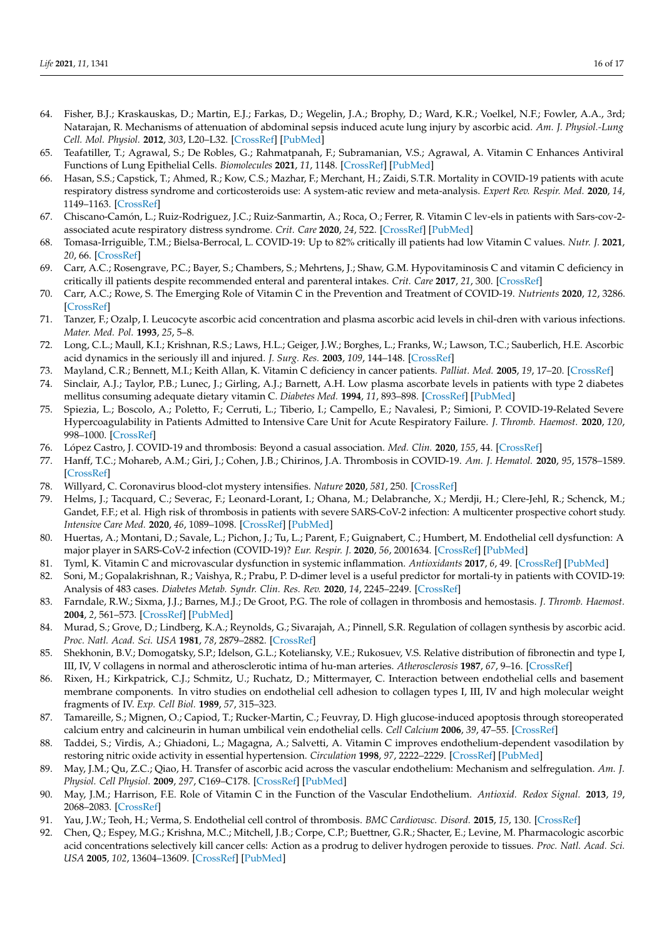- <span id="page-15-0"></span>64. Fisher, B.J.; Kraskauskas, D.; Martin, E.J.; Farkas, D.; Wegelin, J.A.; Brophy, D.; Ward, K.R.; Voelkel, N.F.; Fowler, A.A., 3rd; Natarajan, R. Mechanisms of attenuation of abdominal sepsis induced acute lung injury by ascorbic acid. *Am. J. Physiol.-Lung Cell. Mol. Physiol.* **2012**, *303*, L20–L32. [\[CrossRef\]](http://doi.org/10.1152/ajplung.00300.2011) [\[PubMed\]](http://www.ncbi.nlm.nih.gov/pubmed/22523283)
- <span id="page-15-1"></span>65. Teafatiller, T.; Agrawal, S.; De Robles, G.; Rahmatpanah, F.; Subramanian, V.S.; Agrawal, A. Vitamin C Enhances Antiviral Functions of Lung Epithelial Cells. *Biomolecules* **2021**, *11*, 1148. [\[CrossRef\]](http://doi.org/10.3390/biom11081148) [\[PubMed\]](http://www.ncbi.nlm.nih.gov/pubmed/34439814)
- <span id="page-15-2"></span>66. Hasan, S.S.; Capstick, T.; Ahmed, R.; Kow, C.S.; Mazhar, F.; Merchant, H.; Zaidi, S.T.R. Mortality in COVID-19 patients with acute respiratory distress syndrome and corticosteroids use: A system-atic review and meta-analysis. *Expert Rev. Respir. Med.* **2020**, *14*, 1149–1163. [\[CrossRef\]](http://doi.org/10.1080/17476348.2020.1804365)
- <span id="page-15-3"></span>67. Chiscano-Camón, L.; Ruiz-Rodriguez, J.C.; Ruiz-Sanmartin, A.; Roca, O.; Ferrer, R. Vitamin C lev-els in patients with Sars-cov-2 associated acute respiratory distress syndrome. *Crit. Care* **2020**, *24*, 522. [\[CrossRef\]](http://doi.org/10.1186/s13054-020-03249-y) [\[PubMed\]](http://www.ncbi.nlm.nih.gov/pubmed/32847620)
- <span id="page-15-4"></span>68. Tomasa-Irriguible, T.M.; Bielsa-Berrocal, L. COVID-19: Up to 82% critically ill patients had low Vitamin C values. *Nutr. J.* **2021**, *20*, 66. [\[CrossRef\]](http://doi.org/10.1186/s12937-021-00727-z)
- <span id="page-15-5"></span>69. Carr, A.C.; Rosengrave, P.C.; Bayer, S.; Chambers, S.; Mehrtens, J.; Shaw, G.M. Hypovitaminosis C and vitamin C deficiency in critically ill patients despite recommended enteral and parenteral intakes. *Crit. Care* **2017**, *21*, 300. [\[CrossRef\]](http://doi.org/10.1186/s13054-017-1891-y)
- <span id="page-15-6"></span>70. Carr, A.C.; Rowe, S. The Emerging Role of Vitamin C in the Prevention and Treatment of COVID-19. *Nutrients* **2020**, *12*, 3286. [\[CrossRef\]](http://doi.org/10.3390/nu12113286)
- <span id="page-15-7"></span>71. Tanzer, F.; Ozalp, I. Leucocyte ascorbic acid concentration and plasma ascorbic acid levels in chil-dren with various infections. *Mater. Med. Pol.* **1993**, *25*, 5–8.
- <span id="page-15-8"></span>72. Long, C.L.; Maull, K.I.; Krishnan, R.S.; Laws, H.L.; Geiger, J.W.; Borghes, L.; Franks, W.; Lawson, T.C.; Sauberlich, H.E. Ascorbic acid dynamics in the seriously ill and injured. *J. Surg. Res.* **2003**, *109*, 144–148. [\[CrossRef\]](http://doi.org/10.1016/S0022-4804(02)00083-5)
- <span id="page-15-9"></span>73. Mayland, C.R.; Bennett, M.I.; Keith Allan, K. Vitamin C deficiency in cancer patients. *Palliat. Med.* **2005**, *19*, 17–20. [\[CrossRef\]](http://doi.org/10.1191/0269216305pm970oa)
- <span id="page-15-10"></span>74. Sinclair, A.J.; Taylor, P.B.; Lunec, J.; Girling, A.J.; Barnett, A.H. Low plasma ascorbate levels in patients with type 2 diabetes mellitus consuming adequate dietary vitamin C. *Diabetes Med.* **1994**, *11*, 893–898. [\[CrossRef\]](http://doi.org/10.1111/j.1464-5491.1994.tb00375.x) [\[PubMed\]](http://www.ncbi.nlm.nih.gov/pubmed/7705029)
- <span id="page-15-11"></span>75. Spiezia, L.; Boscolo, A.; Poletto, F.; Cerruti, L.; Tiberio, I.; Campello, E.; Navalesi, P.; Simioni, P. COVID-19-Related Severe Hypercoagulability in Patients Admitted to Intensive Care Unit for Acute Respiratory Failure. *J. Thromb. Haemost.* **2020**, *120*, 998–1000. [\[CrossRef\]](http://doi.org/10.1055/s-0040-1710018)
- <span id="page-15-12"></span>76. López Castro, J. COVID-19 and thrombosis: Beyond a casual association. *Med. Clin.* **2020**, *155*, 44. [\[CrossRef\]](http://doi.org/10.1016/j.medcli.2020.04.014)
- <span id="page-15-13"></span>77. Hanff, T.C.; Mohareb, A.M.; Giri, J.; Cohen, J.B.; Chirinos, J.A. Thrombosis in COVID-19. *Am. J. Hematol.* **2020**, *95*, 1578–1589. [\[CrossRef\]](http://doi.org/10.1002/ajh.25982)
- <span id="page-15-14"></span>78. Willyard, C. Coronavirus blood-clot mystery intensifies. *Nature* **2020**, *581*, 250. [\[CrossRef\]](http://doi.org/10.1038/d41586-020-01403-8)
- <span id="page-15-15"></span>79. Helms, J.; Tacquard, C.; Severac, F.; Leonard-Lorant, I.; Ohana, M.; Delabranche, X.; Merdji, H.; Clere-Jehl, R.; Schenck, M.; Gandet, F.F.; et al. High risk of thrombosis in patients with severe SARS-CoV-2 infection: A multicenter prospective cohort study. *Intensive Care Med.* **2020**, *46*, 1089–1098. [\[CrossRef\]](http://doi.org/10.1007/s00134-020-06062-x) [\[PubMed\]](http://www.ncbi.nlm.nih.gov/pubmed/32367170)
- <span id="page-15-16"></span>80. Huertas, A.; Montani, D.; Savale, L.; Pichon, J.; Tu, L.; Parent, F.; Guignabert, C.; Humbert, M. Endothelial cell dysfunction: A major player in SARS-CoV-2 infection (COVID-19)? *Eur. Respir. J.* **2020**, *56*, 2001634. [\[CrossRef\]](http://doi.org/10.1183/13993003.01634-2020) [\[PubMed\]](http://www.ncbi.nlm.nih.gov/pubmed/32554538)
- <span id="page-15-17"></span>81. Tyml, K. Vitamin C and microvascular dysfunction in systemic inflammation. *Antioxidants* **2017**, *6*, 49. [\[CrossRef\]](http://doi.org/10.3390/antiox6030049) [\[PubMed\]](http://www.ncbi.nlm.nih.gov/pubmed/28661424)
- <span id="page-15-18"></span>82. Soni, M.; Gopalakrishnan, R.; Vaishya, R.; Prabu, P. D-dimer level is a useful predictor for mortali-ty in patients with COVID-19: Analysis of 483 cases. *Diabetes Metab. Syndr. Clin. Res. Rev.* **2020**, *14*, 2245–2249. [\[CrossRef\]](http://doi.org/10.1016/j.dsx.2020.11.007)
- <span id="page-15-19"></span>83. Farndale, R.W.; Sixma, J.J.; Barnes, M.J.; De Groot, P.G. The role of collagen in thrombosis and hemostasis. *J. Thromb. Haemost.* **2004**, *2*, 561–573. [\[CrossRef\]](http://doi.org/10.1111/j.1538-7836.2004.00665.x) [\[PubMed\]](http://www.ncbi.nlm.nih.gov/pubmed/15102010)
- <span id="page-15-20"></span>84. Murad, S.; Grove, D.; Lindberg, K.A.; Reynolds, G.; Sivarajah, A.; Pinnell, S.R. Regulation of collagen synthesis by ascorbic acid. *Proc. Natl. Acad. Sci. USA* **1981**, *78*, 2879–2882. [\[CrossRef\]](http://doi.org/10.1073/pnas.78.5.2879)
- <span id="page-15-21"></span>85. Shekhonin, B.V.; Domogatsky, S.P.; Idelson, G.L.; Koteliansky, V.E.; Rukosuev, V.S. Relative distribution of fibronectin and type I, III, IV, V collagens in normal and atherosclerotic intima of hu-man arteries. *Atherosclerosis* **1987**, *67*, 9–16. [\[CrossRef\]](http://doi.org/10.1016/0021-9150(87)90259-0)
- <span id="page-15-22"></span>86. Rixen, H.; Kirkpatrick, C.J.; Schmitz, U.; Ruchatz, D.; Mittermayer, C. Interaction between endothelial cells and basement membrane components. In vitro studies on endothelial cell adhesion to collagen types I, III, IV and high molecular weight fragments of IV. *Exp. Cell Biol.* **1989**, *57*, 315–323.
- <span id="page-15-23"></span>87. Tamareille, S.; Mignen, O.; Capiod, T.; Rucker-Martin, C.; Feuvray, D. High glucose-induced apoptosis through storeoperated calcium entry and calcineurin in human umbilical vein endothelial cells. *Cell Calcium* **2006**, *39*, 47–55. [\[CrossRef\]](http://doi.org/10.1016/j.ceca.2005.09.008)
- <span id="page-15-24"></span>88. Taddei, S.; Virdis, A.; Ghiadoni, L.; Magagna, A.; Salvetti, A. Vitamin C improves endothelium-dependent vasodilation by restoring nitric oxide activity in essential hypertension. *Circulation* **1998**, *97*, 2222–2229. [\[CrossRef\]](http://doi.org/10.1161/01.CIR.97.22.2222) [\[PubMed\]](http://www.ncbi.nlm.nih.gov/pubmed/9631871)
- <span id="page-15-25"></span>89. May, J.M.; Qu, Z.C.; Qiao, H. Transfer of ascorbic acid across the vascular endothelium: Mechanism and selfregulation. *Am. J. Physiol. Cell Physiol.* **2009**, *297*, C169–C178. [\[CrossRef\]](http://doi.org/10.1152/ajpcell.00674.2008) [\[PubMed\]](http://www.ncbi.nlm.nih.gov/pubmed/19419995)
- <span id="page-15-26"></span>90. May, J.M.; Harrison, F.E. Role of Vitamin C in the Function of the Vascular Endothelium. *Antioxid. Redox Signal.* **2013**, *19*, 2068–2083. [\[CrossRef\]](http://doi.org/10.1089/ars.2013.5205)
- <span id="page-15-27"></span>91. Yau, J.W.; Teoh, H.; Verma, S. Endothelial cell control of thrombosis. *BMC Cardiovasc. Disord.* **2015**, *15*, 130. [\[CrossRef\]](http://doi.org/10.1186/s12872-015-0124-z)
- <span id="page-15-28"></span>92. Chen, Q.; Espey, M.G.; Krishna, M.C.; Mitchell, J.B.; Corpe, C.P.; Buettner, G.R.; Shacter, E.; Levine, M. Pharmacologic ascorbic acid concentrations selectively kill cancer cells: Action as a prodrug to deliver hydrogen peroxide to tissues. *Proc. Natl. Acad. Sci. USA* **2005**, *102*, 13604–13609. [\[CrossRef\]](http://doi.org/10.1073/pnas.0506390102) [\[PubMed\]](http://www.ncbi.nlm.nih.gov/pubmed/16157892)